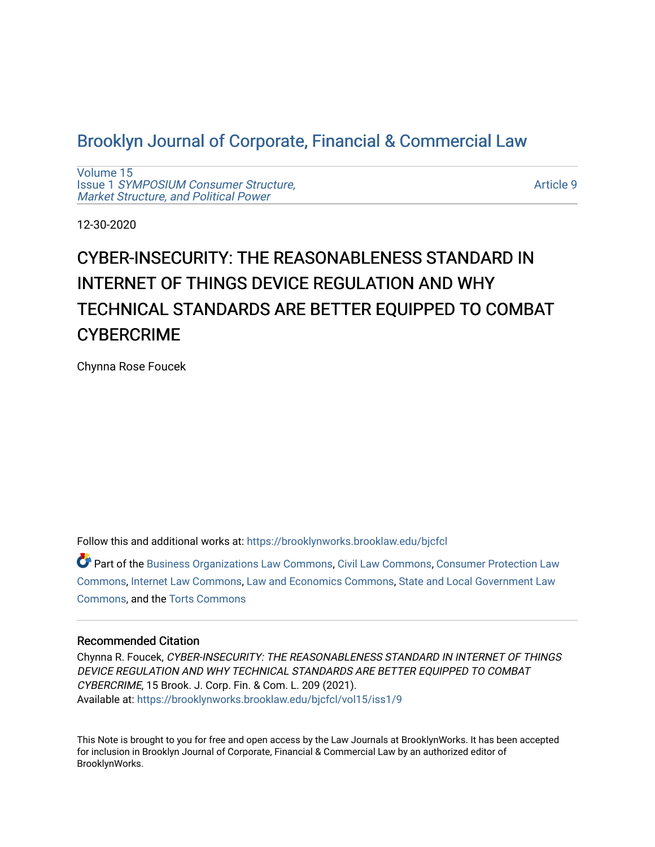# [Brooklyn Journal of Corporate, Financial & Commercial Law](https://brooklynworks.brooklaw.edu/bjcfcl)

[Volume 15](https://brooklynworks.brooklaw.edu/bjcfcl/vol15) Issue 1 [SYMPOSIUM Consumer Structure,](https://brooklynworks.brooklaw.edu/bjcfcl/vol15/iss1) [Market Structure, and Political Power](https://brooklynworks.brooklaw.edu/bjcfcl/vol15/iss1)

[Article 9](https://brooklynworks.brooklaw.edu/bjcfcl/vol15/iss1/9) 

12-30-2020

# CYBER-INSECURITY: THE REASONABLENESS STANDARD IN INTERNET OF THINGS DEVICE REGULATION AND WHY TECHNICAL STANDARDS ARE BETTER EQUIPPED TO COMBAT **CYBERCRIME**

Chynna Rose Foucek

Follow this and additional works at: [https://brooklynworks.brooklaw.edu/bjcfcl](https://brooklynworks.brooklaw.edu/bjcfcl?utm_source=brooklynworks.brooklaw.edu%2Fbjcfcl%2Fvol15%2Fiss1%2F9&utm_medium=PDF&utm_campaign=PDFCoverPages)

Part of the [Business Organizations Law Commons](http://network.bepress.com/hgg/discipline/900?utm_source=brooklynworks.brooklaw.edu%2Fbjcfcl%2Fvol15%2Fiss1%2F9&utm_medium=PDF&utm_campaign=PDFCoverPages), [Civil Law Commons,](http://network.bepress.com/hgg/discipline/835?utm_source=brooklynworks.brooklaw.edu%2Fbjcfcl%2Fvol15%2Fiss1%2F9&utm_medium=PDF&utm_campaign=PDFCoverPages) [Consumer Protection Law](http://network.bepress.com/hgg/discipline/838?utm_source=brooklynworks.brooklaw.edu%2Fbjcfcl%2Fvol15%2Fiss1%2F9&utm_medium=PDF&utm_campaign=PDFCoverPages) [Commons](http://network.bepress.com/hgg/discipline/838?utm_source=brooklynworks.brooklaw.edu%2Fbjcfcl%2Fvol15%2Fiss1%2F9&utm_medium=PDF&utm_campaign=PDFCoverPages), [Internet Law Commons](http://network.bepress.com/hgg/discipline/892?utm_source=brooklynworks.brooklaw.edu%2Fbjcfcl%2Fvol15%2Fiss1%2F9&utm_medium=PDF&utm_campaign=PDFCoverPages), [Law and Economics Commons](http://network.bepress.com/hgg/discipline/612?utm_source=brooklynworks.brooklaw.edu%2Fbjcfcl%2Fvol15%2Fiss1%2F9&utm_medium=PDF&utm_campaign=PDFCoverPages), [State and Local Government Law](http://network.bepress.com/hgg/discipline/879?utm_source=brooklynworks.brooklaw.edu%2Fbjcfcl%2Fvol15%2Fiss1%2F9&utm_medium=PDF&utm_campaign=PDFCoverPages) [Commons](http://network.bepress.com/hgg/discipline/879?utm_source=brooklynworks.brooklaw.edu%2Fbjcfcl%2Fvol15%2Fiss1%2F9&utm_medium=PDF&utm_campaign=PDFCoverPages), and the [Torts Commons](http://network.bepress.com/hgg/discipline/913?utm_source=brooklynworks.brooklaw.edu%2Fbjcfcl%2Fvol15%2Fiss1%2F9&utm_medium=PDF&utm_campaign=PDFCoverPages) 

#### Recommended Citation

Chynna R. Foucek, CYBER-INSECURITY: THE REASONABLENESS STANDARD IN INTERNET OF THINGS DEVICE REGULATION AND WHY TECHNICAL STANDARDS ARE BETTER EQUIPPED TO COMBAT CYBERCRIME, 15 Brook. J. Corp. Fin. & Com. L. 209 (2021). Available at: [https://brooklynworks.brooklaw.edu/bjcfcl/vol15/iss1/9](https://brooklynworks.brooklaw.edu/bjcfcl/vol15/iss1/9?utm_source=brooklynworks.brooklaw.edu%2Fbjcfcl%2Fvol15%2Fiss1%2F9&utm_medium=PDF&utm_campaign=PDFCoverPages)

This Note is brought to you for free and open access by the Law Journals at BrooklynWorks. It has been accepted for inclusion in Brooklyn Journal of Corporate, Financial & Commercial Law by an authorized editor of BrooklynWorks.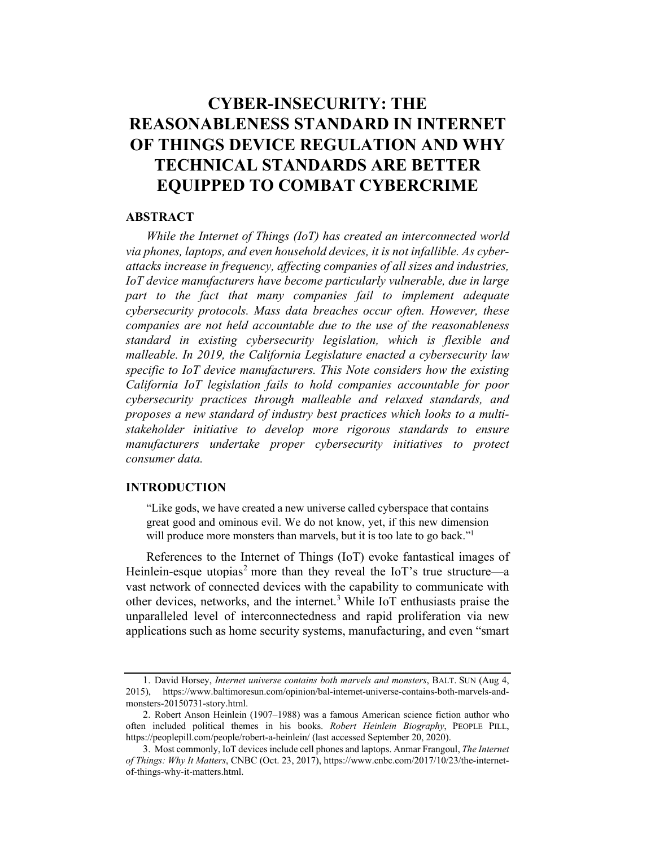# CYBER-INSECURITY: THE REASONA%LENESS STANDARD IN INTERNET OF THINGS DEVICE REGULATION AND WHY TECHNICAL STANDARDS ARE BETTER EQUIPPED TO COMBAT CYBERCRIME

### **ABSTRACT**

While the Internet of Things (IoT) has created an interconnected world via phones, laptops, and even household devices, it is not infallible. As cyberattacks increase in frequency, affecting companies of all sizes and industries, IoT device manufacturers have become particularly vulnerable, due in large part to the fact that many companies fail to implement adequate cybersecurity protocols. Mass data breaches occur often. However, these companies are not held accountable due to the use of the reasonableness standard in existing cybersecurity legislation, which is flexible and malleable. In 2019, the California Legislature enacted a cybersecurity law specific to IoT device manufacturers. This Note considers how the existing California IoT legislation fails to hold companies accountable for poor cybersecurity practices through malleable and relaxed standards, and proposes a new standard of industry best practices which looks to a multistakeholder initiative to develop more rigorous standards to ensure manufacturers undertake proper cybersecurity initiatives to protect consumer data.

# INTRODUCTION

"Like gods, we have created a new universe called cyberspace that contains great good and ominous evil. We do not know, yet, if this new dimension will produce more monsters than marvels, but it is too late to go back."<sup>1</sup>

References to the Internet of Things (IoT) evoke fantastical images of Heinlein-esque utopias<sup>2</sup> more than they reveal the IoT's true structure—a vast network of connected devices with the capability to communicate with other devices, networks, and the internet.3 While IoT enthusiasts praise the unparalleled level of interconnectedness and rapid proliferation via new applications such as home security systems, manufacturing, and even "smart

<sup>1.</sup> David Horsey, Internet universe contains both marvels and monsters, BALT. SUN (Aug 4, 2015), https://www.baltimoresun.com/opinion/bal-internet-universe-contains-both-marvels-andmonsters-20150731-story.html.

<sup>2.</sup> Robert Anson Heinlein (1907–1988) was a famous American science fiction author who often included political themes in his books. Robert Heinlein Biography, PEOPLE PILL, https://peoplepill.com/people/robert-a-heinlein/ (last accessed September 20, 2020).

<sup>3.</sup> Most commonly, IoT devices include cell phones and laptops. Anmar Frangoul, The Internet of Things: Why It Matters, CNBC (Oct. 23, 2017), https://www.cnbc.com/2017/10/23/the-internetof-things-why-it-matters.html.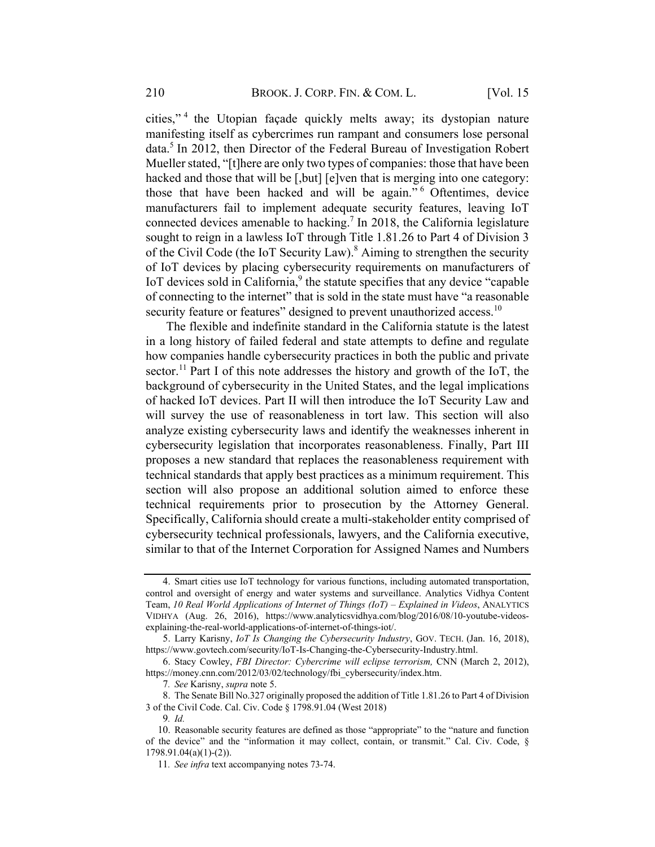cities," <sup>4</sup> the Utopian façade quickly melts away; its dystopian nature manifesting itself as cybercrimes run rampant and consumers lose personal data.<sup>5</sup> In 2012, then Director of the Federal Bureau of Investigation Robert Mueller stated, "[t]here are only two types of companies: those that have been hacked and those that will be [,but] [e]ven that is merging into one category: those that have been hacked and will be again." <sup>6</sup> Oftentimes, device manufacturers fail to implement adequate security features, leaving IoT connected devices amenable to hacking. <sup>7</sup> In 2018, the California legislature sought to reign in a lawless IoT through Title 1.81.26 to Part 4 of Division 3 of the Civil Code (the IoT Security Law).<sup>8</sup> Aiming to strengthen the security of IoT devices by placing cybersecurity requirements on manufacturers of IoT devices sold in California,<sup>9</sup> the statute specifies that any device "capable of connecting to the internet" that is sold in the state must have "a reasonable security feature or features" designed to prevent unauthorized access.<sup>10</sup>

The flexible and indefinite standard in the California statute is the latest in a long history of failed federal and state attempts to define and regulate how companies handle cybersecurity practices in both the public and private sector.<sup>11</sup> Part I of this note addresses the history and growth of the IoT, the background of cybersecurity in the United States, and the legal implications of hacked IoT devices. Part II will then introduce the IoT Security Law and will survey the use of reasonableness in tort law. This section will also analyze existing cybersecurity laws and identify the weaknesses inherent in cybersecurity legislation that incorporates reasonableness. Finally, Part III proposes a new standard that replaces the reasonableness requirement with technical standards that apply best practices as a minimum requirement. This section will also propose an additional solution aimed to enforce these technical requirements prior to prosecution by the Attorney General. Specifically, California should create a multi-stakeholder entity comprised of cybersecurity technical professionals, lawyers, and the California executive, similar to that of the Internet Corporation for Assigned Names and Numbers

<sup>4.</sup> Smart cities use IoT technology for various functions, including automated transportation, control and oversight of energy and water systems and surveillance. Analytics Vidhya Content Team, 10 Real World Applications of Internet of Things (IoT) – Explained in Videos, ANALYTICS VIDHYA (Aug. 26, 2016), https://www.analyticsvidhya.com/blog/2016/08/10-youtube-videosexplaining-the-real-world-applications-of-internet-of-things-iot/.

<sup>5.</sup> Larry Karisny, IoT Is Changing the Cybersecurity Industry, GOV. TECH. (Jan. 16, 2018), https://www.govtech.com/security/IoT-Is-Changing-the-Cybersecurity-Industry.html.

<sup>6.</sup> Stacy Cowley, FBI Director: Cybercrime will eclipse terrorism, CNN (March 2, 2012), https://money.cnn.com/2012/03/02/technology/fbi\_cybersecurity/index.htm.

<sup>7</sup>. See Karisny, supra note 5.

<sup>8.</sup> The Senate Bill No.327 originally proposed the addition of Title 1.81.26 to Part 4 of Division 3 of the Civil Code. Cal. Civ. Code § 1798.91.04 (West 2018)

<sup>9</sup>. Id.

<sup>10.</sup> Reasonable security features are defined as those "appropriate" to the "nature and function of the device" and the "information it may collect, contain, or transmit." Cal. Civ. Code, § 1798.91.04(a)(1)-(2)).

<sup>11</sup>. See infra text accompanying notes 73-74.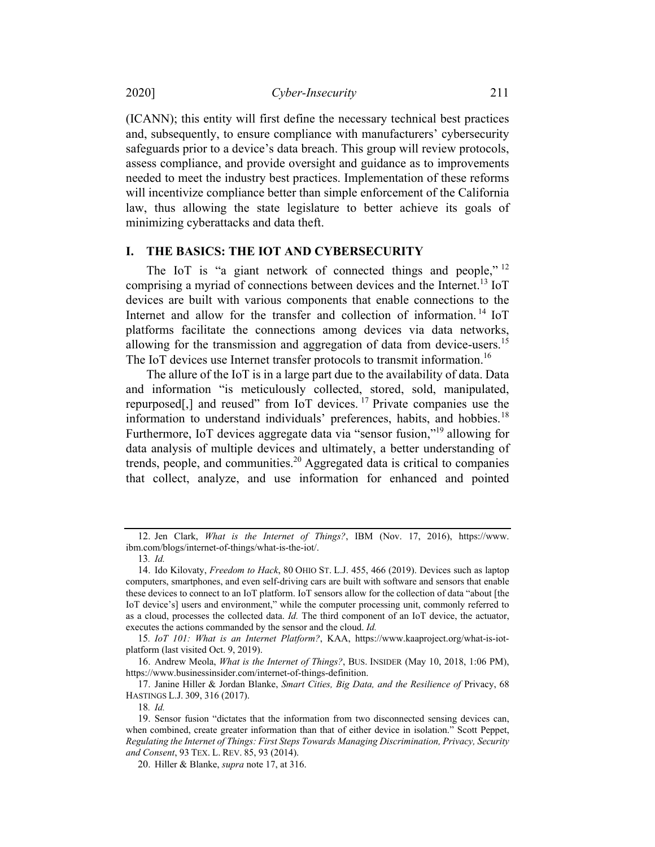2020] Cyber-Insecurity 211

(ICANN); this entity will first define the necessary technical best practices and, subsequently, to ensure compliance with manufacturers' cybersecurity safeguards prior to a device's data breach. This group will review protocols, assess compliance, and provide oversight and guidance as to improvements needed to meet the industry best practices. Implementation of these reforms will incentivize compliance better than simple enforcement of the California law, thus allowing the state legislature to better achieve its goals of minimizing cyberattacks and data theft.

#### I. THE BASICS: THE IOT AND CYBERSECURITY

The IoT is "a giant network of connected things and people."<sup>12</sup> comprising a myriad of connections between devices and the Internet.<sup>13</sup> IoT devices are built with various components that enable connections to the Internet and allow for the transfer and collection of information.<sup>14</sup> IoT platforms facilitate the connections among devices via data networks, allowing for the transmission and aggregation of data from device-users.<sup>15</sup> The IoT devices use Internet transfer protocols to transmit information.<sup>16</sup>

The allure of the IoT is in a large part due to the availability of data. Data and information "is meticulously collected, stored, sold, manipulated, repurposed[,] and reused" from IoT devices. <sup>17</sup> Private companies use the information to understand individuals' preferences, habits, and hobbies.<sup>18</sup> Furthermore, IoT devices aggregate data via "sensor fusion,"19 allowing for data analysis of multiple devices and ultimately, a better understanding of trends, people, and communities.<sup>20</sup> Aggregated data is critical to companies that collect, analyze, and use information for enhanced and pointed

15. IoT 101: What is an Internet Platform?, KAA, https://www.kaaproject.org/what-is-iotplatform (last visited Oct. 9, 2019).

16. Andrew Meola, What is the Internet of Things?, BUS. INSIDER (May 10, 2018, 1:06 PM), https://www.businessinsider.com/internet-of-things-definition.

17. Janine Hiller & Jordan Blanke, Smart Cities, Big Data, and the Resilience of Privacy, 68 HASTINGS L.J. 309, 316 (2017).

18. Id.

<sup>12.</sup> Jen Clark, What is the Internet of Things?, IBM (Nov. 17, 2016), https://www. ibm.com/blogs/internet-of-things/what-is-the-iot/.

<sup>13</sup>. Id.

<sup>14.</sup> Ido Kilovaty, Freedom to Hack, 80 OHIO ST. L.J. 455, 466 (2019). Devices such as laptop computers, smartphones, and even self-driving cars are built with software and sensors that enable these devices to connect to an IoT platform. IoT sensors allow for the collection of data "about [the IoT device's] users and environment," while the computer processing unit, commonly referred to as a cloud, processes the collected data. Id. The third component of an IoT device, the actuator, executes the actions commanded by the sensor and the cloud. Id.

<sup>19.</sup> Sensor fusion "dictates that the information from two disconnected sensing devices can, when combined, create greater information than that of either device in isolation." Scott Peppet, Regulating the Internet of Things: First Steps Towards Managing Discrimination, Privacy, Security and Consent, 93 TEX. L. REV. 85, 93 (2014).

<sup>20.</sup> Hiller & Blanke, *supra* note 17, at 316.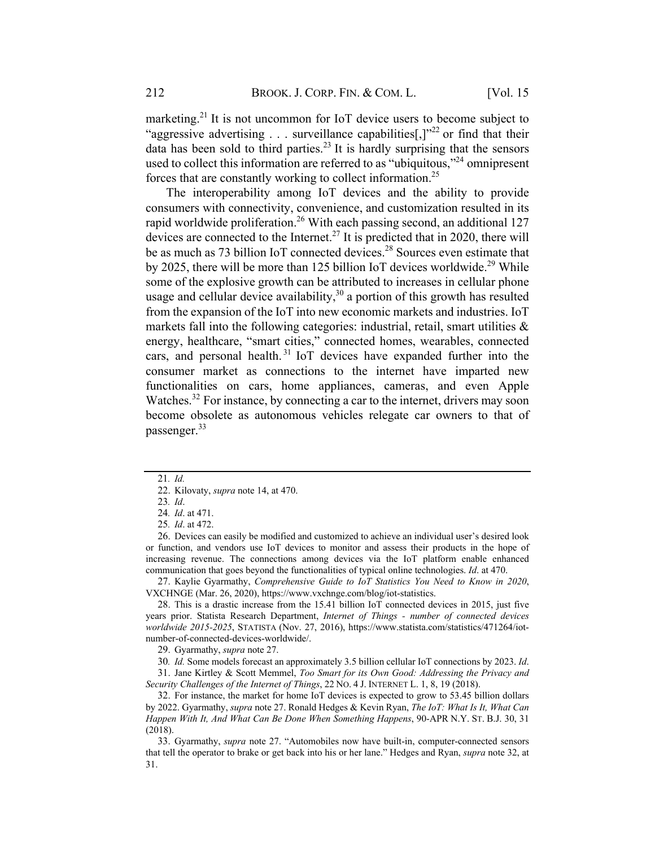marketing.<sup>21</sup> It is not uncommon for IoT device users to become subject to "aggressive advertising . . . surveillance capabilities[,] $v^{22}$  or find that their data has been sold to third parties.<sup>23</sup> It is hardly surprising that the sensors used to collect this information are referred to as "ubiquitous,"<sup>24</sup> omnipresent forces that are constantly working to collect information.25

The interoperability among IoT devices and the ability to provide consumers with connectivity, convenience, and customization resulted in its rapid worldwide proliferation.<sup>26</sup> With each passing second, an additional 127 devices are connected to the Internet.<sup>27</sup> It is predicted that in 2020, there will be as much as 73 billion IoT connected devices. <sup>28</sup> Sources even estimate that by 2025, there will be more than 125 billion IoT devices worldwide.<sup>29</sup> While some of the explosive growth can be attributed to increases in cellular phone usage and cellular device availability, $30$  a portion of this growth has resulted from the expansion of the IoT into new economic markets and industries. IoT markets fall into the following categories: industrial, retail, smart utilities & energy, healthcare, "smart cities," connected homes, wearables, connected cars, and personal health. <sup>31</sup> IoT devices have expanded further into the consumer market as connections to the internet have imparted new functionalities on cars, home appliances, cameras, and even Apple Watches.<sup>32</sup> For instance, by connecting a car to the internet, drivers may soon become obsolete as autonomous vehicles relegate car owners to that of passenger.<sup>33</sup>

26. Devices can easily be modified and customized to achieve an individual user's desired look or function, and vendors use IoT devices to monitor and assess their products in the hope of increasing revenue. The connections among devices via the IoT platform enable enhanced communication that goes beyond the functionalities of typical online technologies. Id. at 470.

27. Kaylie Gyarmathy, Comprehensive Guide to IoT Statistics You Need to Know in 2020, VXCHNGE (Mar. 26, 2020), https://www.vxchnge.com/blog/iot-statistics.

28. This is a drastic increase from the 15.41 billion IoT connected devices in 2015, just five years prior. Statista Research Department, Internet of Things - number of connected devices worldwide 2015-2025, STATISTA (Nov. 27, 2016), https://www.statista.com/statistics/471264/iotnumber-of-connected-devices-worldwide/.

29. Gyarmathy, supra note 27.

30. Id. Some models forecast an approximately 3.5 billion cellular IoT connections by 2023. Id. 31. Jane Kirtley & Scott Memmel, Too Smart for its Own Good: Addressing the Privacy and

Security Challenges of the Internet of Things, 22 No. 4 J. INTERNET L. 1, 8, 19 (2018).

32. For instance, the market for home IoT devices is expected to grow to 53.45 billion dollars by 2022. Gyarmathy, *supra* note 27. Ronald Hedges & Kevin Ryan, *The IoT: What Is It, What Can* Happen With It, And What Can Be Done When Something Happens, 90-APR N.Y. ST. B.J. 30, 31 (2018).

33. Gyarmathy, supra note 27. "Automobiles now have built-in, computer-connected sensors that tell the operator to brake or get back into his or her lane." Hedges and Ryan, supra note 32, at 31.

<sup>21</sup>. Id.

<sup>22.</sup> Kilovaty, supra note 14, at 470.

<sup>23</sup>. Id.

<sup>24</sup>. Id. at 471.

<sup>25</sup>. Id. at 472.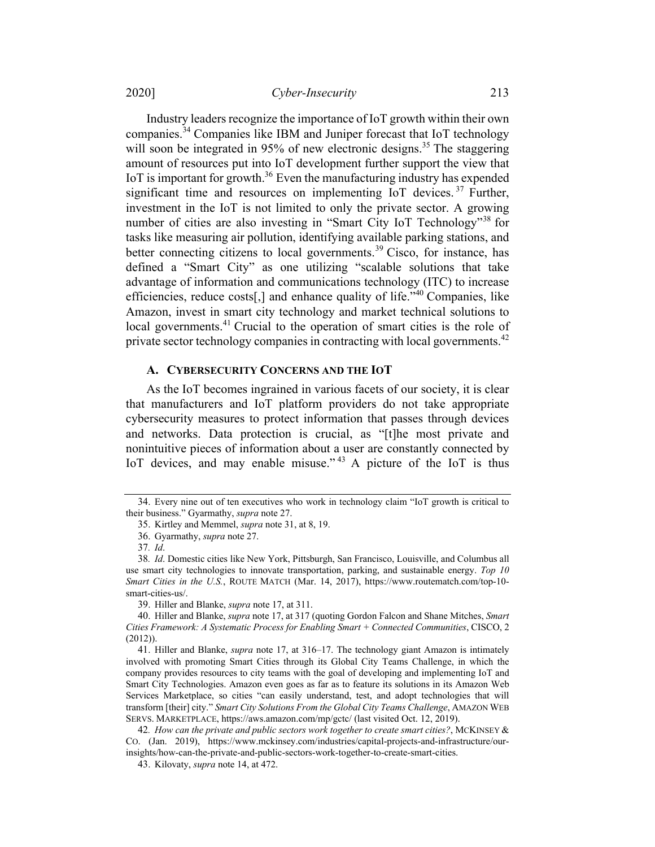Industry leaders recognize the importance of IoT growth within their own companies.<sup>34</sup> Companies like IBM and Juniper forecast that IoT technology will soon be integrated in 95% of new electronic designs.<sup>35</sup> The staggering amount of resources put into IoT development further support the view that IoT is important for growth.<sup>36</sup> Even the manufacturing industry has expended significant time and resources on implementing IoT devices.<sup>37</sup> Further, investment in the IoT is not limited to only the private sector. A growing number of cities are also investing in "Smart City IoT Technology"<sup>38</sup> for tasks like measuring air pollution, identifying available parking stations, and better connecting citizens to local governments.<sup>39</sup> Cisco, for instance, has defined a "Smart City" as one utilizing "scalable solutions that take advantage of information and communications technology (ITC) to increase efficiencies, reduce costs[,] and enhance quality of life."<sup>40</sup> Companies, like Amazon, invest in smart city technology and market technical solutions to local governments.<sup>41</sup> Crucial to the operation of smart cities is the role of private sector technology companies in contracting with local governments.<sup>42</sup>

#### A. CYBERSECURITY CONCERNS AND THE IOT

As the IoT becomes ingrained in various facets of our society, it is clear that manufacturers and IoT platform providers do not take appropriate cybersecurity measures to protect information that passes through devices and networks. Data protection is crucial, as "[t]he most private and nonintuitive pieces of information about a user are constantly connected by IoT devices, and may enable misuse."<sup>43</sup> A picture of the IoT is thus

<sup>34.</sup> Every nine out of ten executives who work in technology claim "IoT growth is critical to their business." Gyarmathy, supra note 27.

<sup>35.</sup> Kirtley and Memmel, supra note 31, at 8, 19.

<sup>36.</sup> Gyarmathy, supra note 27.

<sup>37</sup>. Id.

<sup>38</sup>. Id. Domestic cities like New York, Pittsburgh, San Francisco, Louisville, and Columbus all use smart city technologies to innovate transportation, parking, and sustainable energy. Top 10 Smart Cities in the U.S., ROUTE MATCH (Mar. 14, 2017), https://www.routematch.com/top-10 smart-cities-us/.

<sup>39.</sup> Hiller and Blanke, supra note 17, at 311.

<sup>40.</sup> Hiller and Blanke, supra note 17, at 317 (quoting Gordon Falcon and Shane Mitches, Smart Cities Framework: A Systematic Process for Enabling Smart + Connected Communities, CISCO, 2 (2012)).

<sup>41.</sup> Hiller and Blanke, supra note 17, at 316–17. The technology giant Amazon is intimately involved with promoting Smart Cities through its Global City Teams Challenge, in which the company provides resources to city teams with the goal of developing and implementing IoT and Smart City Technologies. Amazon even goes as far as to feature its solutions in its Amazon Web Services Marketplace, so cities "can easily understand, test, and adopt technologies that will transform [their] city." Smart City Solutions From the Global City Teams Challenge, AMAZON WEB SERVS. MARKETPLACE, https://aws.amazon.com/mp/gctc/ (last visited Oct. 12, 2019).

<sup>42.</sup> How can the private and public sectors work together to create smart cities?, MCKINSEY & CO. (Jan. 2019), https://www.mckinsey.com/industries/capital-projects-and-infrastructure/ourinsights/how-can-the-private-and-public-sectors-work-together-to-create-smart-cities.

<sup>43.</sup> Kilovaty, supra note 14, at 472.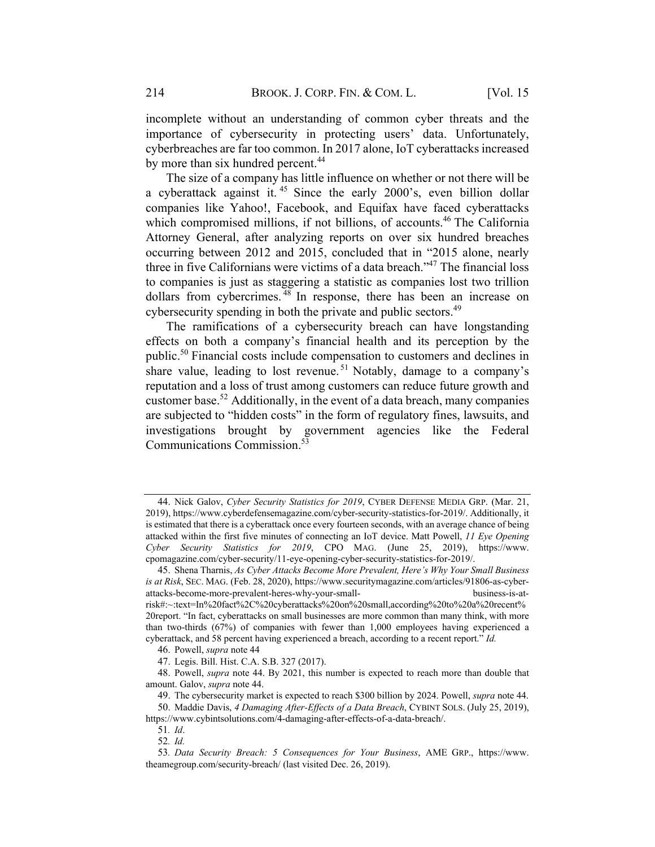incomplete without an understanding of common cyber threats and the importance of cybersecurity in protecting users' data. Unfortunately, cyberbreaches are far too common. In 2017 alone, IoT cyberattacks increased by more than six hundred percent.<sup>44</sup>

The size of a company has little influence on whether or not there will be a cyberattack against it. <sup>45</sup> Since the early 2000's, even billion dollar companies like Yahoo!, Facebook, and Equifax have faced cyberattacks which compromised millions, if not billions, of accounts.<sup>46</sup> The California Attorney General, after analyzing reports on over six hundred breaches occurring between 2012 and 2015, concluded that in "2015 alone, nearly three in five Californians were victims of a data breach."47 The financial loss to companies is just as staggering a statistic as companies lost two trillion dollars from cybercrimes. <sup>48</sup> In response, there has been an increase on cybersecurity spending in both the private and public sectors.<sup>49</sup>

The ramifications of a cybersecurity breach can have longstanding effects on both a company's financial health and its perception by the public.<sup>50</sup> Financial costs include compensation to customers and declines in share value, leading to lost revenue.<sup>51</sup> Notably, damage to a company's reputation and a loss of trust among customers can reduce future growth and customer base.<sup>52</sup> Additionally, in the event of a data breach, many companies are subjected to "hidden costs" in the form of regulatory fines, lawsuits, and investigations brought by government agencies like the Federal Communications Commission. 53

<sup>44.</sup> Nick Galov, Cyber Security Statistics for 2019, CYBER DEFENSE MEDIA GRP. (Mar. 21, 2019), https://www.cyberdefensemagazine.com/cyber-security-statistics-for-2019/. Additionally, it is estimated that there is a cyberattack once every fourteen seconds, with an average chance of being attacked within the first five minutes of connecting an IoT device. Matt Powell, 11 Eye Opening Cyber Security Statistics for 2019, CPO MAG. (June 25, 2019), https://www. cpomagazine.com/cyber-security/11-eye-opening-cyber-security-statistics-for-2019/.

<sup>45.</sup> Shena Tharnis, As Cyber Attacks Become More Prevalent, Here's Why Your Small Business is at Risk, SEC. MAG. (Feb. 28, 2020), https://www.securitymagazine.com/articles/91806-as-cyberattacks-become-more-prevalent-heres-why-your-small- business-is-atrisk#:~:text=In%20fact%2C%20cyberattacks%20on%20small,according%20to%20a%20recent% 20report. "In fact, cyberattacks on small businesses are more common than many think, with more than two-thirds (67%) of companies with fewer than 1,000 employees having experienced a cyberattack, and 58 percent having experienced a breach, according to a recent report." Id.

<sup>46.</sup> Powell, supra note 44

<sup>47.</sup> Legis. Bill. Hist. C.A. S.B. 327 (2017).

<sup>48.</sup> Powell, supra note 44. By 2021, this number is expected to reach more than double that amount. Galov, supra note 44.

<sup>49.</sup> The cybersecurity market is expected to reach \$300 billion by 2024. Powell, supra note 44.

<sup>50.</sup> Maddie Davis, 4 Damaging After-Effects of a Data Breach, CYBINT SOLS. (July 25, 2019), https://www.cybintsolutions.com/4-damaging-after-effects-of-a-data-breach/.

<sup>51</sup>. Id.

<sup>52</sup>. Id.

<sup>53</sup>. Data Security Breach: 5 Consequences for Your Business, AME GRP., https://www. theamegroup.com/security-breach/ (last visited Dec. 26, 2019).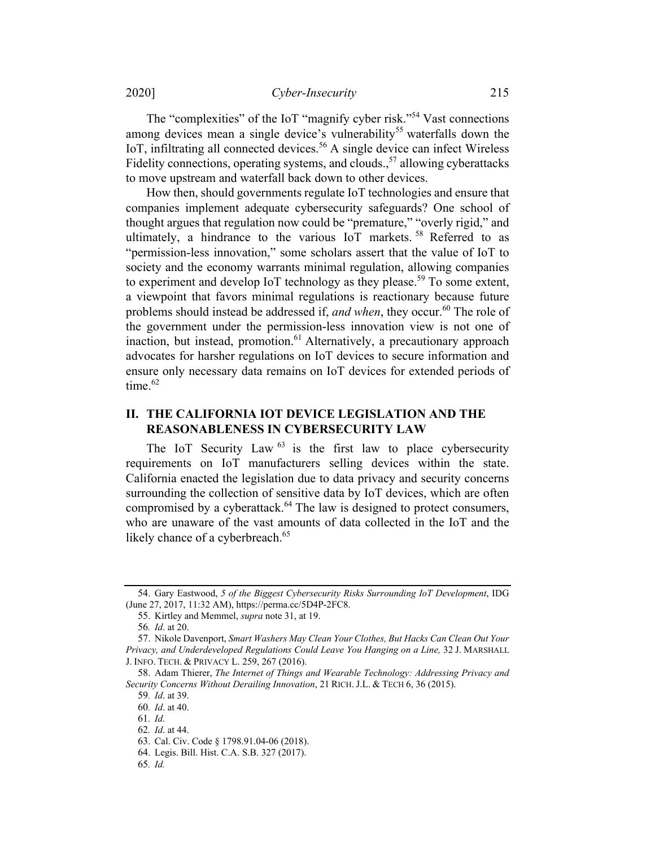2020] Cyber-Insecurity 215

The "complexities" of the IoT "magnify cyber risk."<sup>54</sup> Vast connections among devices mean a single device's vulnerability<sup>55</sup> waterfalls down the IoT, infiltrating all connected devices. <sup>56</sup> A single device can infect Wireless Fidelity connections, operating systems, and clouds.,  $57$  allowing cyberattacks to move upstream and waterfall back down to other devices.

How then, should governments regulate IoT technologies and ensure that companies implement adequate cybersecurity safeguards? One school of thought argues that regulation now could be "premature," "overly rigid," and ultimately, a hindrance to the various IoT markets.<sup>58</sup> Referred to as "permission-less innovation," some scholars assert that the value of IoT to society and the economy warrants minimal regulation, allowing companies to experiment and develop IoT technology as they please.<sup>59</sup> To some extent, a viewpoint that favors minimal regulations is reactionary because future problems should instead be addressed if, and when, they occur.<sup>60</sup> The role of the government under the permission-less innovation view is not one of inaction, but instead, promotion.<sup>61</sup> Alternatively, a precautionary approach advocates for harsher regulations on IoT devices to secure information and ensure only necessary data remains on IoT devices for extended periods of time. $62$ 

# II. THE CALIFORNIA IOT DEVICE LEGISLATION AND THE REASONABLENESS IN CYBERSECURITY LAW

The IoT Security Law  $^{63}$  is the first law to place cybersecurity requirements on IoT manufacturers selling devices within the state. California enacted the legislation due to data privacy and security concerns surrounding the collection of sensitive data by IoT devices, which are often compromised by a cyberattack.<sup>64</sup> The law is designed to protect consumers, who are unaware of the vast amounts of data collected in the IoT and the likely chance of a cyberbreach.<sup>65</sup>

<sup>54.</sup> Gary Eastwood, 5 of the Biggest Cybersecurity Risks Surrounding IoT Development, IDG (June 27, 2017, 11:32 AM), https://perma.cc/5D4P-2FC8.

<sup>55.</sup> Kirtley and Memmel, supra note 31, at 19.

<sup>56</sup>. Id. at 20.

<sup>57.</sup> Nikole Davenport, Smart Washers May Clean Your Clothes, But Hacks Can Clean Out Your Privacy, and Underdeveloped Regulations Could Leave You Hanging on a Line, 32 J. MARSHALL J. INFO. TECH. & PRIVACY L. 259, 267 (2016).

<sup>58.</sup> Adam Thierer, The Internet of Things and Wearable Technology: Addressing Privacy and Security Concerns Without Derailing Innovation, 21 RICH. J.L. & TECH 6, 36 (2015).

<sup>59</sup>. Id. at 39.

<sup>60</sup>. Id. at 40.

<sup>61</sup>. Id.

<sup>62</sup>. Id. at 44.

<sup>63.</sup> Cal. Civ. Code § 1798.91.04-06 (2018).

<sup>64.</sup> Legis. Bill. Hist. C.A. S.B. 327 (2017).

<sup>65</sup>. Id.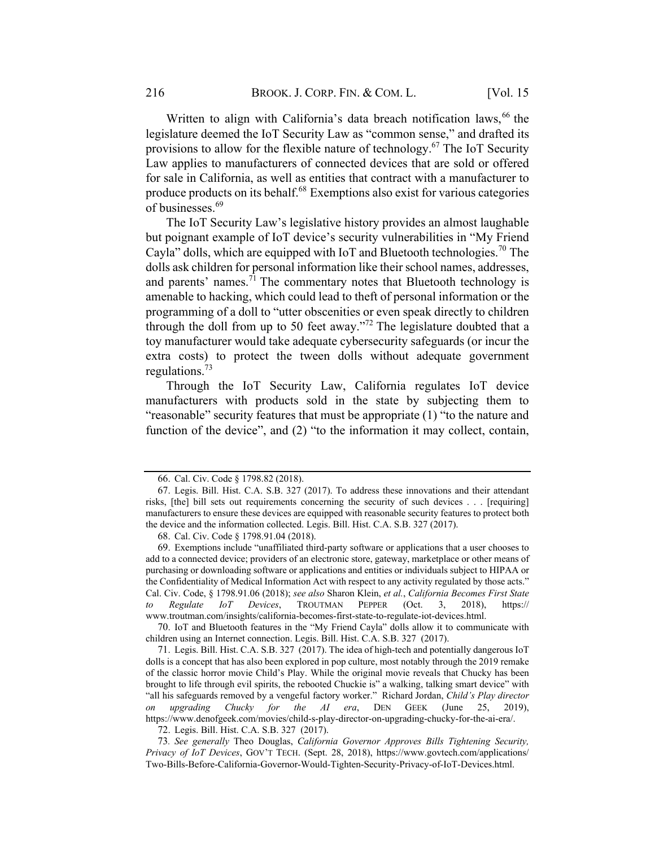Written to align with California's data breach notification laws,  $66$  the legislature deemed the IoT Security Law as "common sense," and drafted its provisions to allow for the flexible nature of technology.<sup>67</sup> The IoT Security Law applies to manufacturers of connected devices that are sold or offered for sale in California, as well as entities that contract with a manufacturer to produce products on its behalf.<sup>68</sup> Exemptions also exist for various categories of businesses. 69

The IoT Security Law's legislative history provides an almost laughable but poignant example of IoT device's security vulnerabilities in "My Friend Cayla" dolls, which are equipped with IoT and Bluetooth technologies.<sup>70</sup> The dolls ask children for personal information like their school names, addresses, and parents' names.<sup>71</sup> The commentary notes that Bluetooth technology is amenable to hacking, which could lead to theft of personal information or the programming of a doll to "utter obscenities or even speak directly to children through the doll from up to 50 feet away."<sup>72</sup> The legislature doubted that a toy manufacturer would take adequate cybersecurity safeguards (or incur the extra costs) to protect the tween dolls without adequate government regulations.73

Through the IoT Security Law, California regulates IoT device manufacturers with products sold in the state by subjecting them to "reasonable" security features that must be appropriate (1) "to the nature and function of the device", and (2) "to the information it may collect, contain,

70. IoT and Bluetooth features in the "My Friend Cayla" dolls allow it to communicate with children using an Internet connection. Legis. Bill. Hist. C.A. S.B. 327 (2017).

71. Legis. Bill. Hist. C.A. S.B. 327 (2017). The idea of high-tech and potentially dangerous IoT dolls is a concept that has also been explored in pop culture, most notably through the 2019 remake of the classic horror movie Child's Play. While the original movie reveals that Chucky has been brought to life through evil spirits, the rebooted Chuckie is" a walking, talking smart device" with "all his safeguards removed by a vengeful factory worker." Richard Jordan, Child's Play director on upgrading Chucky for the AI era, DEN GEEK (June 25, 2019), https://www.denofgeek.com/movies/child-s-play-director-on-upgrading-chucky-for-the-ai-era/.

72. Legis. Bill. Hist. C.A. S.B. 327 (2017).

73. See generally Theo Douglas, California Governor Approves Bills Tightening Security, Privacy of IoT Devices, GOV'T TECH. (Sept. 28, 2018), https://www.govtech.com/applications/ Two-Bills-Before-California-Governor-Would-Tighten-Security-Privacy-of-IoT-Devices.html.

<sup>66.</sup> Cal. Civ. Code § 1798.82 (2018).

<sup>67.</sup> Legis. Bill. Hist. C.A. S.B. 327 (2017). To address these innovations and their attendant risks, [the] bill sets out requirements concerning the security of such devices . . . [requiring] manufacturers to ensure these devices are equipped with reasonable security features to protect both the device and the information collected. Legis. Bill. Hist. C.A. S.B. 327 (2017).

<sup>68.</sup> Cal. Civ. Code § 1798.91.04 (2018).

<sup>69.</sup> Exemptions include "unaffiliated third-party software or applications that a user chooses to add to a connected device; providers of an electronic store, gateway, marketplace or other means of purchasing or downloading software or applications and entities or individuals subject to HIPAA or the Confidentiality of Medical Information Act with respect to any activity regulated by those acts." Cal. Civ. Code, § 1798.91.06 (2018); see also Sharon Klein, et al., California Becomes First State to Regulate IoT Devices, TROUTMAN PEPPER (Oct. 3, 2018), https:// www.troutman.com/insights/california-becomes-first-state-to-regulate-iot-devices.html.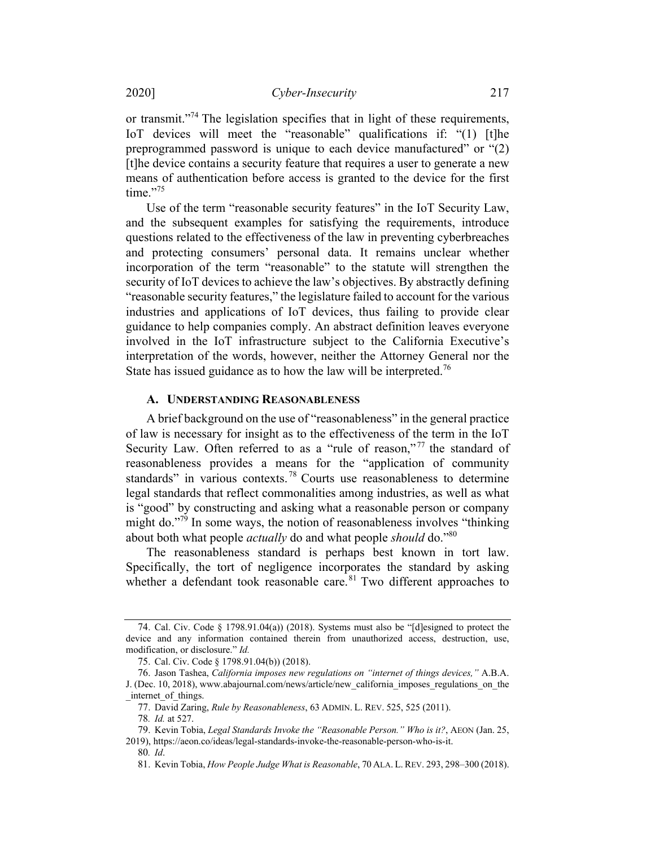or transmit."<sup>74</sup> The legislation specifies that in light of these requirements, IoT devices will meet the "reasonable" qualifications if: "(1) [t]he preprogrammed password is unique to each device manufactured" or "(2) [t]he device contains a security feature that requires a user to generate a new means of authentication before access is granted to the device for the first  $time.$ "75

Use of the term "reasonable security features" in the IoT Security Law, and the subsequent examples for satisfying the requirements, introduce questions related to the effectiveness of the law in preventing cyberbreaches and protecting consumers' personal data. It remains unclear whether incorporation of the term "reasonable" to the statute will strengthen the security of IoT devices to achieve the law's objectives. By abstractly defining "reasonable security features," the legislature failed to account for the various industries and applications of IoT devices, thus failing to provide clear guidance to help companies comply. An abstract definition leaves everyone involved in the IoT infrastructure subject to the California Executive's interpretation of the words, however, neither the Attorney General nor the State has issued guidance as to how the law will be interpreted.<sup>76</sup>

### A. UNDERSTANDING REASONABLENESS

A brief background on the use of "reasonableness" in the general practice of law is necessary for insight as to the effectiveness of the term in the IoT Security Law. Often referred to as a "rule of reason,"<sup>77</sup> the standard of reasonableness provides a means for the "application of community standards" in various contexts.<sup>78</sup> Courts use reasonableness to determine legal standards that reflect commonalities among industries, as well as what is "good" by constructing and asking what a reasonable person or company might do."79 In some ways, the notion of reasonableness involves "thinking about both what people *actually* do and what people *should* do."<sup>80</sup>

The reasonableness standard is perhaps best known in tort law. Specifically, the tort of negligence incorporates the standard by asking whether a defendant took reasonable care.<sup>81</sup> Two different approaches to

<sup>74.</sup> Cal. Civ. Code § 1798.91.04(a)) (2018). Systems must also be "[d]esigned to protect the device and any information contained therein from unauthorized access, destruction, use, modification, or disclosure." Id.

<sup>75.</sup> Cal. Civ. Code § 1798.91.04(b)) (2018).

<sup>76.</sup> Jason Tashea, California imposes new regulations on "internet of things devices," A.B.A. J. (Dec. 10, 2018), www.abajournal.com/news/article/new\_california\_imposes\_regulations\_on\_the internet of things.

<sup>77.</sup> David Zaring, Rule by Reasonableness, 63 ADMIN. L. REV. 525, 525 (2011).

<sup>78</sup>. Id. at 527.

<sup>79.</sup> Kevin Tobia, Legal Standards Invoke the "Reasonable Person." Who is it?, AEON (Jan. 25, 2019), https://aeon.co/ideas/legal-standards-invoke-the-reasonable-person-who-is-it.

<sup>80</sup>. Id.

<sup>81.</sup> Kevin Tobia, How People Judge What is Reasonable, 70 ALA. L.REV. 293, 298–300 (2018).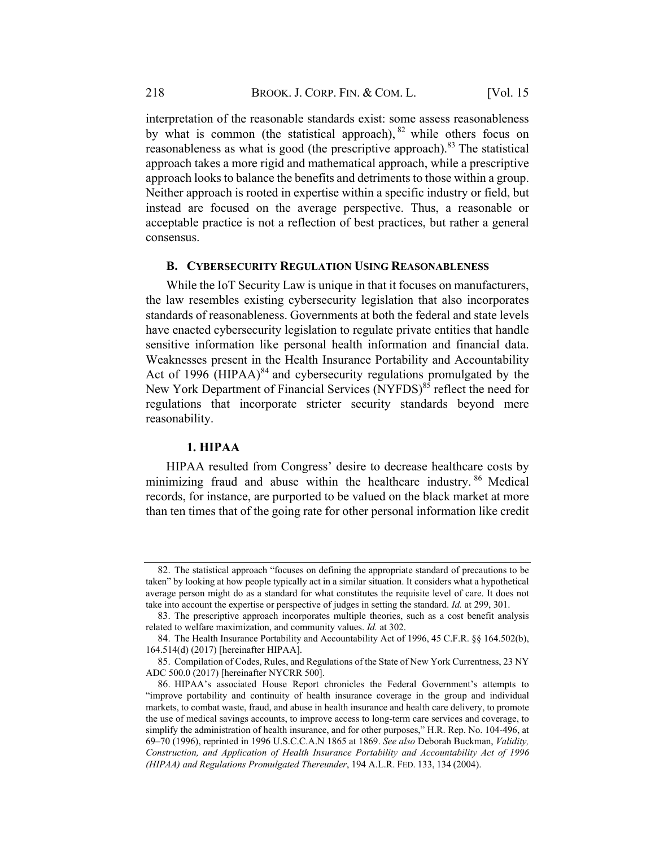interpretation of the reasonable standards exist: some assess reasonableness by what is common (the statistical approach),  $82$  while others focus on reasonableness as what is good (the prescriptive approach).83 The statistical approach takes a more rigid and mathematical approach, while a prescriptive approach looks to balance the benefits and detriments to those within a group. Neither approach is rooted in expertise within a specific industry or field, but instead are focused on the average perspective. Thus, a reasonable or acceptable practice is not a reflection of best practices, but rather a general consensus.

#### B. CYBERSECURITY REGULATION USING REASONABLENESS

While the IoT Security Law is unique in that it focuses on manufacturers, the law resembles existing cybersecurity legislation that also incorporates standards of reasonableness. Governments at both the federal and state levels have enacted cybersecurity legislation to regulate private entities that handle sensitive information like personal health information and financial data. Weaknesses present in the Health Insurance Portability and Accountability Act of 1996 (HIPAA) $^{84}$  and cybersecurity regulations promulgated by the New York Department of Financial Services (NYFDS)<sup>85</sup> reflect the need for regulations that incorporate stricter security standards beyond mere reasonability.

#### 1. HIPAA

HIPAA resulted from Congress' desire to decrease healthcare costs by minimizing fraud and abuse within the healthcare industry.<sup>86</sup> Medical records, for instance, are purported to be valued on the black market at more than ten times that of the going rate for other personal information like credit

<sup>82.</sup> The statistical approach "focuses on defining the appropriate standard of precautions to be taken" by looking at how people typically act in a similar situation. It considers what a hypothetical average person might do as a standard for what constitutes the requisite level of care. It does not take into account the expertise or perspective of judges in setting the standard. Id. at 299, 301.

<sup>83.</sup> The prescriptive approach incorporates multiple theories, such as a cost benefit analysis related to welfare maximization, and community values. Id. at 302.

<sup>84.</sup> The Health Insurance Portability and Accountability Act of 1996, 45 C.F.R. §§ 164.502(b), 164.514(d) (2017) [hereinafter HIPAA].

<sup>85.</sup> Compilation of Codes, Rules, and Regulations of the State of New York Currentness, 23 NY ADC 500.0 (2017) [hereinafter NYCRR 500].

<sup>86.</sup> HIPAA's associated House Report chronicles the Federal Government's attempts to "improve portability and continuity of health insurance coverage in the group and individual markets, to combat waste, fraud, and abuse in health insurance and health care delivery, to promote the use of medical savings accounts, to improve access to long-term care services and coverage, to simplify the administration of health insurance, and for other purposes," H.R. Rep. No. 104-496, at 69–70 (1996), reprinted in 1996 U.S.C.C.A.N 1865 at 1869. See also Deborah Buckman, Validity, Construction, and Application of Health Insurance Portability and Accountability Act of 1996 (HIPAA) and Regulations Promulgated Thereunder, 194 A.L.R. FED. 133, 134 (2004).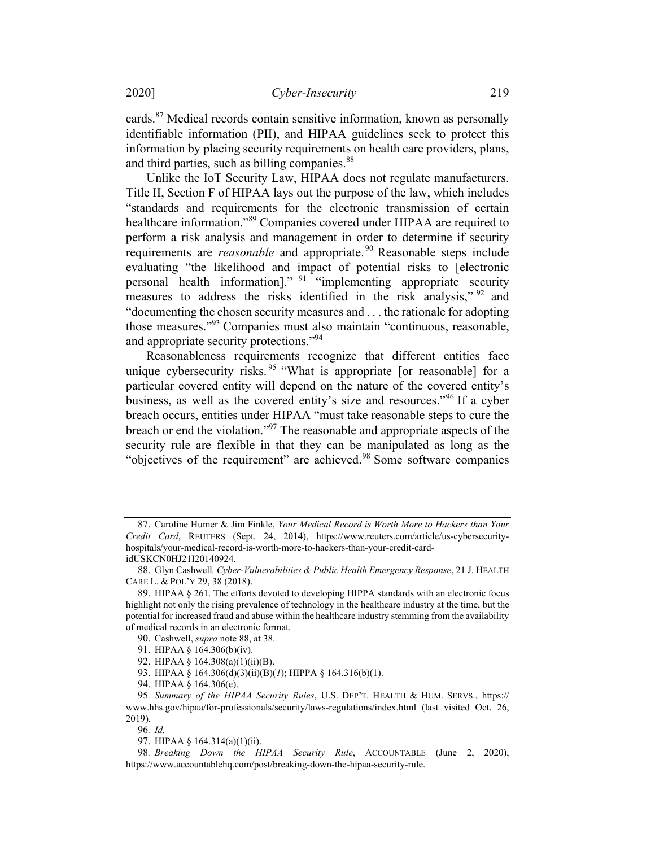cards.<sup>87</sup> Medical records contain sensitive information, known as personally identifiable information (PII), and HIPAA guidelines seek to protect this information by placing security requirements on health care providers, plans, and third parties, such as billing companies.<sup>88</sup>

Unlike the IoT Security Law, HIPAA does not regulate manufacturers. Title II, Section F of HIPAA lays out the purpose of the law, which includes "standards and requirements for the electronic transmission of certain healthcare information."89 Companies covered under HIPAA are required to perform a risk analysis and management in order to determine if security requirements are *reasonable* and appropriate.<sup>90</sup> Reasonable steps include evaluating "the likelihood and impact of potential risks to [electronic personal health information]," <sup>91</sup> "implementing appropriate security measures to address the risks identified in the risk analysis," <sup>92</sup> and "documenting the chosen security measures and . . . the rationale for adopting those measures."<sup>93</sup> Companies must also maintain "continuous, reasonable, and appropriate security protections."94

Reasonableness requirements recognize that different entities face unique cybersecurity risks.<sup>95</sup> "What is appropriate [or reasonable] for a particular covered entity will depend on the nature of the covered entity's business, as well as the covered entity's size and resources."<sup>96</sup> If a cyber breach occurs, entities under HIPAA "must take reasonable steps to cure the breach or end the violation."97 The reasonable and appropriate aspects of the security rule are flexible in that they can be manipulated as long as the "objectives of the requirement" are achieved.<sup>98</sup> Some software companies

96. Id.

<sup>87.</sup> Caroline Humer & Jim Finkle, Your Medical Record is Worth More to Hackers than Your Credit Card, REUTERS (Sept. 24, 2014), https://www.reuters.com/article/us-cybersecurityhospitals/your-medical-record-is-worth-more-to-hackers-than-your-credit-cardidUSKCN0HJ21I20140924.

<sup>88.</sup> Glyn Cashwell, Cyber-Vulnerabilities & Public Health Emergency Response, 21 J. HEALTH CARE L. & POL'Y 29, 38 (2018).

<sup>89.</sup> HIPAA § 261. The efforts devoted to developing HIPPA standards with an electronic focus highlight not only the rising prevalence of technology in the healthcare industry at the time, but the potential for increased fraud and abuse within the healthcare industry stemming from the availability of medical records in an electronic format.

<sup>90.</sup> Cashwell, supra note 88, at 38.

<sup>91.</sup> HIPAA § 164.306(b)(iv).

<sup>92.</sup> HIPAA § 164.308(a)(1)(ii)(B).

<sup>93.</sup> HIPAA § 164.306(d)(3)(ii)(B)(1); HIPPA § 164.316(b)(1).

<sup>94.</sup> HIPAA § 164.306(e).

<sup>95</sup>. Summary of the HIPAA Security Rules, U.S. DEP'T. HEALTH & HUM. SERVS., https:// www.hhs.gov/hipaa/for-professionals/security/laws-regulations/index.html (last visited Oct. 26, 2019).

<sup>97.</sup> HIPAA § 164.314(a)(1)(ii).

<sup>98.</sup> Breaking Down the HIPAA Security Rule, ACCOUNTABLE (June 2, 2020), https://www.accountablehq.com/post/breaking-down-the-hipaa-security-rule.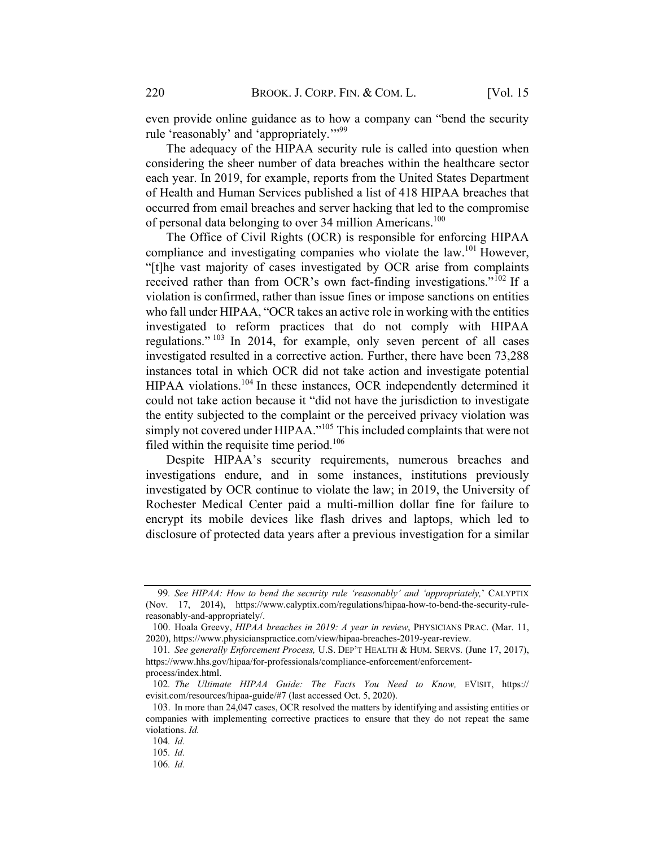even provide online guidance as to how a company can "bend the security rule 'reasonably' and 'appropriately."<sup>99</sup>

The adequacy of the HIPAA security rule is called into question when considering the sheer number of data breaches within the healthcare sector each year. In 2019, for example, reports from the United States Department of Health and Human Services published a list of 418 HIPAA breaches that occurred from email breaches and server hacking that led to the compromise of personal data belonging to over 34 million Americans.<sup>100</sup>

The Office of Civil Rights (OCR) is responsible for enforcing HIPAA compliance and investigating companies who violate the law.<sup>101</sup> However, "[t]he vast majority of cases investigated by OCR arise from complaints received rather than from OCR's own fact-finding investigations." $102$  If a violation is confirmed, rather than issue fines or impose sanctions on entities who fall under HIPAA, "OCR takes an active role in working with the entities investigated to reform practices that do not comply with HIPAA regulations."  $103$  In 2014, for example, only seven percent of all cases investigated resulted in a corrective action. Further, there have been 73,288 instances total in which OCR did not take action and investigate potential HIPAA violations.<sup>104</sup> In these instances, OCR independently determined it could not take action because it "did not have the jurisdiction to investigate the entity subjected to the complaint or the perceived privacy violation was simply not covered under HIPAA."<sup>105</sup> This included complaints that were not filed within the requisite time period.<sup>106</sup>

Despite HIPAA's security requirements, numerous breaches and investigations endure, and in some instances, institutions previously investigated by OCR continue to violate the law; in 2019, the University of Rochester Medical Center paid a multi-million dollar fine for failure to encrypt its mobile devices like flash drives and laptops, which led to disclosure of protected data years after a previous investigation for a similar

<sup>99</sup>. See HIPAA: How to bend the security rule 'reasonably' and 'appropriately,' CALYPTIX (Nov. 17, 2014), https://www.calyptix.com/regulations/hipaa-how-to-bend-the-security-rulereasonably-and-appropriately/.

<sup>100.</sup> Hoala Greevy, HIPAA breaches in 2019: A year in review, PHYSICIANS PRAC. (Mar. 11, 2020), https://www.physicianspractice.com/view/hipaa-breaches-2019-year-review.

<sup>101</sup>. See generally Enforcement Process, U.S. DEP'T HEALTH & HUM. SERVS. (June 17, 2017), https://www.hhs.gov/hipaa/for-professionals/compliance-enforcement/enforcementprocess/index.html.

<sup>102</sup>. The Ultimate HIPAA Guide: The Facts You Need to Know, EVISIT, https:// evisit.com/resources/hipaa-guide/#7 (last accessed Oct. 5, 2020).

<sup>103.</sup> In more than 24,047 cases, OCR resolved the matters by identifying and assisting entities or companies with implementing corrective practices to ensure that they do not repeat the same violations. Id.

<sup>104</sup>. Id.

<sup>105</sup>. Id.

<sup>106</sup>. Id.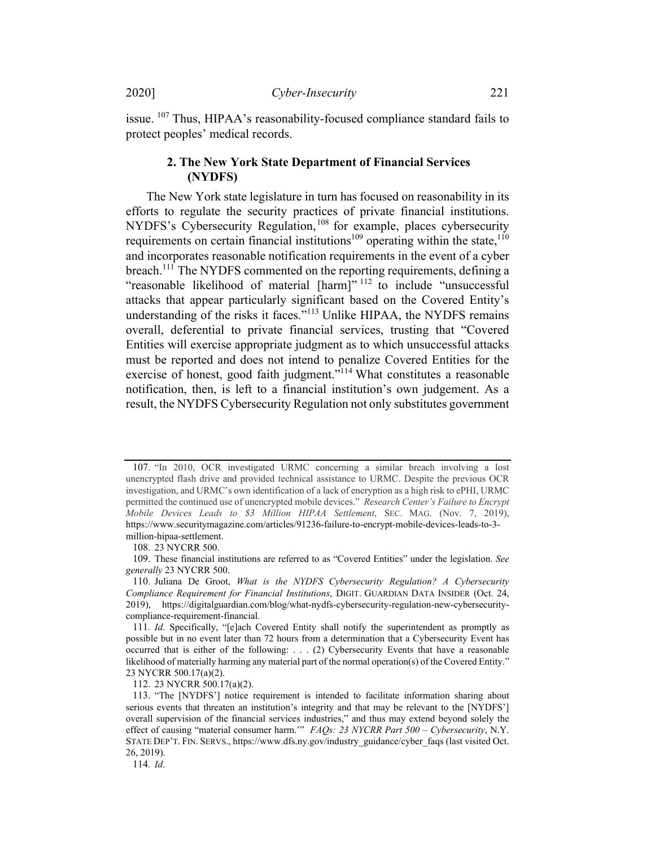issue. <sup>107</sup> Thus, HIPAA's reasonability-focused compliance standard fails to protect peoples' medical records.

## 2. The New York State Department of Financial Services NYDFS

The New York state legislature in turn has focused on reasonability in its efforts to regulate the security practices of private financial institutions. NYDFS's Cybersecurity Regulation, <sup>108</sup> for example, places cybersecurity requirements on certain financial institutions<sup>109</sup> operating within the state.<sup>110</sup> and incorporates reasonable notification requirements in the event of a cyber breach.<sup>111</sup> The NYDFS commented on the reporting requirements, defining a "reasonable likelihood of material [harm]" <sup>112</sup> to include "unsuccessful attacks that appear particularly significant based on the Covered Entity's understanding of the risks it faces."<sup>113</sup> Unlike HIPAA, the NYDFS remains overall, deferential to private financial services, trusting that "Covered Entities will exercise appropriate judgment as to which unsuccessful attacks must be reported and does not intend to penalize Covered Entities for the exercise of honest, good faith judgment."<sup>114</sup> What constitutes a reasonable notification, then, is left to a financial institution's own judgement. As a result, the NYDFS Cybersecurity Regulation not only substitutes government

108. 23 NYCRR 500.

109. These financial institutions are referred to as "Covered Entities" under the legislation. See generally 23 NYCRR 500.

112. 23 NYCRR 500.17(a)(2).

114. Id.

<sup>107.</sup> "In 2010, OCR investigated URMC concerning a similar breach involving a lost unencrypted flash drive and provided technical assistance to URMC. Despite the previous OCR investigation, and URMC's own identification of a lack of encryption as a high risk to ePHI, URMC permitted the continued use of unencrypted mobile devices." Research Center's Failure to Encrypt Mobile Devices Leads to \$3 Million HIPAA Settlement, SEC. MAG. (Nov. 7, 2019), https://www.securitymagazine.com/articles/91236-failure-to-encrypt-mobile-devices-leads-to-3 million-hipaa-settlement.

<sup>110.</sup> Juliana De Groot, What is the NYDFS Cybersecurity Regulation? A Cybersecurity Compliance Requirement for Financial Institutions, DIGIT. GUARDIAN DATA INSIDER (Oct. 24, 2019), https://digitalguardian.com/blog/what-nydfs-cybersecurity-regulation-new-cybersecuritycompliance-requirement-financial.

<sup>111.</sup> Id. Specifically, "[e]ach Covered Entity shall notify the superintendent as promptly as possible but in no event later than 72 hours from a determination that a Cybersecurity Event has occurred that is either of the following: . . . (2) Cybersecurity Events that have a reasonable likelihood of materially harming any material part of the normal operation(s) of the Covered Entity." 23 NYCRR 500.17(a)(2).

<sup>113.</sup> "The [NYDFS'] notice requirement is intended to facilitate information sharing about serious events that threaten an institution's integrity and that may be relevant to the [NYDFS'] overall supervision of the financial services industries," and thus may extend beyond solely the effect of causing "material consumer harm."" FAQs: 23 NYCRR Part 500 - Cybersecurity, N.Y. STATE DEP'T. FIN. SERVS., https://www.dfs.ny.gov/industry\_guidance/cyber\_faqs (last visited Oct. 26, 2019).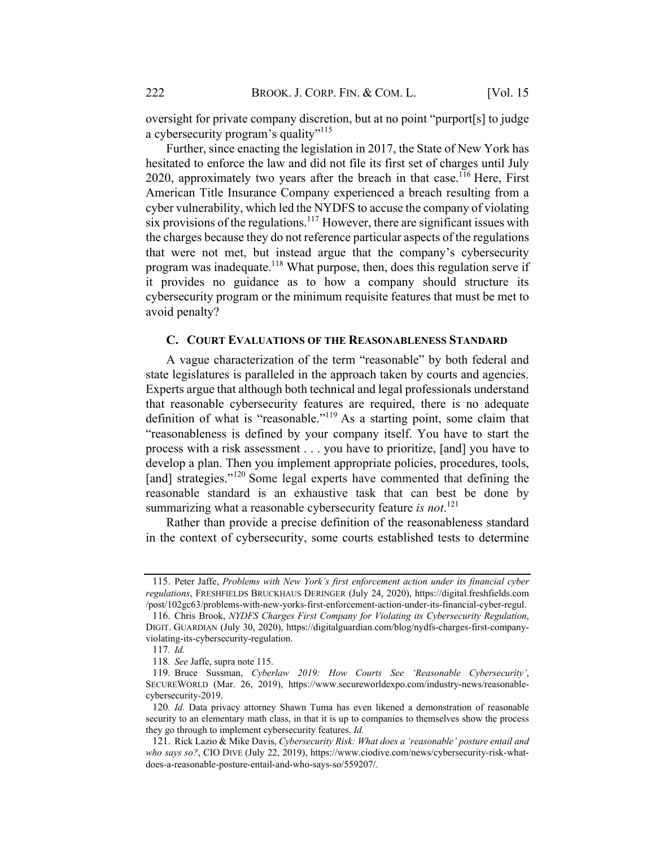oversight for private company discretion, but at no point "purport[s] to judge a cybersecurity program's quality"<sup>115</sup>

Further, since enacting the legislation in 2017, the State of New York has hesitated to enforce the law and did not file its first set of charges until July 2020, approximately two years after the breach in that case.<sup>116</sup> Here, First American Title Insurance Company experienced a breach resulting from a cyber vulnerability, which led the NYDFS to accuse the company of violating six provisions of the regulations.<sup>117</sup> However, there are significant issues with the charges because they do not reference particular aspects of the regulations that were not met, but instead argue that the company's cybersecurity program was inadequate.<sup>118</sup> What purpose, then, does this regulation serve if it provides no guidance as to how a company should structure its cybersecurity program or the minimum requisite features that must be met to avoid penalty?

#### C. COURT EVALUATIONS OF THE REASONABLENESS STANDARD

A vague characterization of the term "reasonable" by both federal and state legislatures is paralleled in the approach taken by courts and agencies. Experts argue that although both technical and legal professionals understand that reasonable cybersecurity features are required, there is no adequate definition of what is "reasonable."<sup>119</sup> As a starting point, some claim that "reasonableness is defined by your company itself. You have to start the process with a risk assessment . . . you have to prioritize, [and] you have to develop a plan. Then you implement appropriate policies, procedures, tools, [and] strategies."<sup>120</sup> Some legal experts have commented that defining the reasonable standard is an exhaustive task that can best be done by summarizing what a reasonable cybersecurity feature is not.<sup>121</sup>

Rather than provide a precise definition of the reasonableness standard in the context of cybersecurity, some courts established tests to determine

<sup>115.</sup> Peter Jaffe, Problems with New York's first enforcement action under its financial cyber regulations, FRESHFIELDS BRUCKHAUS DERINGER (July 24, 2020), https://digital.freshfields.com /post/102gc63/problems-with-new-yorks-first-enforcement-action-under-its-financial-cyber-regul.

<sup>116.</sup> Chris Brook, NYDFS Charges First Company for Violating its Cybersecurity Regulation, DIGIT. GUARDIAN (July 30, 2020), https://digitalguardian.com/blog/nydfs-charges-first-companyviolating-its-cybersecurity-regulation.

<sup>117</sup>. Id.

<sup>118</sup>. See Jaffe, supra note 115.

<sup>119.</sup> Bruce Sussman, Cyberlaw 2019: How Courts See 'Reasonable Cybersecurity', SECUREWORLD (Mar. 26, 2019), https://www.secureworldexpo.com/industry-news/reasonablecybersecurity-2019.

<sup>120</sup>. Id. Data privacy attorney Shawn Tuma has even likened a demonstration of reasonable security to an elementary math class, in that it is up to companies to themselves show the process they go through to implement cybersecurity features. Id.

<sup>121.</sup> Rick Lazio & Mike Davis, Cybersecurity Risk: What does a 'reasonable' posture entail and who says so?, CIO DIVE (July 22, 2019), https://www.ciodive.com/news/cybersecurity-risk-whatdoes-a-reasonable-posture-entail-and-who-says-so/559207/.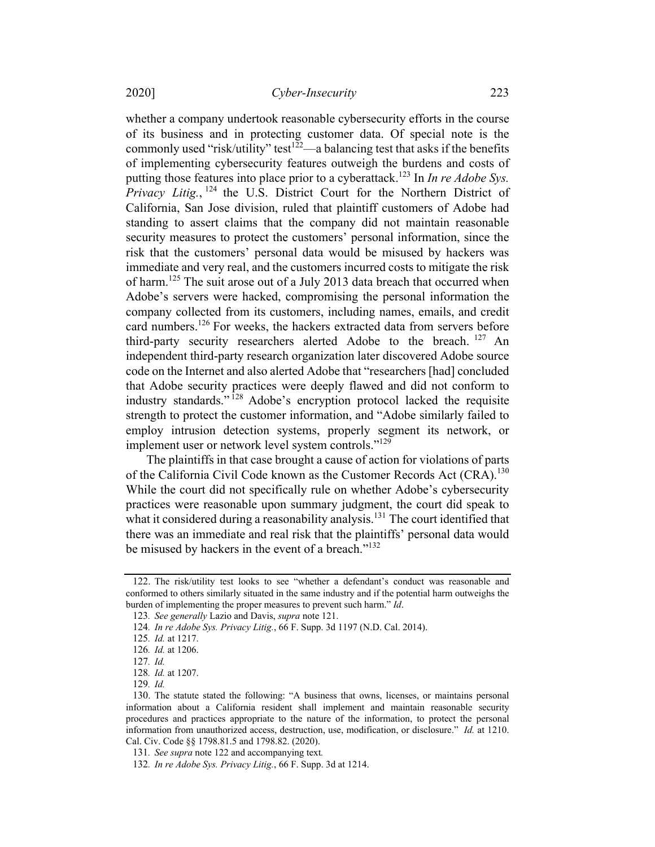whether a company undertook reasonable cybersecurity efforts in the course of its business and in protecting customer data. Of special note is the commonly used "risk/utility" test<sup>122</sup>—a balancing test that asks if the benefits of implementing cybersecurity features outweigh the burdens and costs of putting those features into place prior to a cyberattack.<sup>123</sup> In *In re Adobe Sys.* Privacy Litig.,  $124$  the U.S. District Court for the Northern District of California, San Jose division, ruled that plaintiff customers of Adobe had standing to assert claims that the company did not maintain reasonable security measures to protect the customers' personal information, since the risk that the customers' personal data would be misused by hackers was immediate and very real, and the customers incurred costs to mitigate the risk of harm.<sup>125</sup> The suit arose out of a July 2013 data breach that occurred when Adobe's servers were hacked, compromising the personal information the company collected from its customers, including names, emails, and credit card numbers.<sup>126</sup> For weeks, the hackers extracted data from servers before third-party security researchers alerted Adobe to the breach. <sup>127</sup> An independent third-party research organization later discovered Adobe source code on the Internet and also alerted Adobe that "researchers [had] concluded that Adobe security practices were deeply flawed and did not conform to industry standards."<sup>128</sup> Adobe's encryption protocol lacked the requisite strength to protect the customer information, and "Adobe similarly failed to employ intrusion detection systems, properly segment its network, or implement user or network level system controls."<sup>129</sup>

The plaintiffs in that case brought a cause of action for violations of parts of the California Civil Code known as the Customer Records Act  $(CRA)$ .<sup>130</sup> While the court did not specifically rule on whether Adobe's cybersecurity practices were reasonable upon summary judgment, the court did speak to what it considered during a reasonability analysis.<sup>131</sup> The court identified that there was an immediate and real risk that the plaintiffs' personal data would be misused by hackers in the event of a breach."<sup>132</sup>

129. Id.

<sup>122.</sup> The risk/utility test looks to see "whether a defendant's conduct was reasonable and conformed to others similarly situated in the same industry and if the potential harm outweighs the burden of implementing the proper measures to prevent such harm." Id.

<sup>123</sup>. See generally Lazio and Davis, supra note 121.

<sup>124</sup>. In re Adobe Sys. Privacy Litig., 66 F. Supp. 3d 1197 (N.D. Cal. 2014).

<sup>125</sup>. Id. at 1217.

<sup>126</sup>. Id. at 1206.

<sup>127</sup>. Id.

<sup>128</sup>. Id. at 1207.

<sup>130.</sup> The statute stated the following: "A business that owns, licenses, or maintains personal information about a California resident shall implement and maintain reasonable security procedures and practices appropriate to the nature of the information, to protect the personal information from unauthorized access, destruction, use, modification, or disclosure." Id. at 1210. Cal. Civ. Code §§ 1798.81.5 and 1798.82. (2020).

<sup>131</sup>. See supra note 122 and accompanying text.

<sup>132</sup>. In re Adobe Sys. Privacy Litig., 66 F. Supp. 3d at 1214.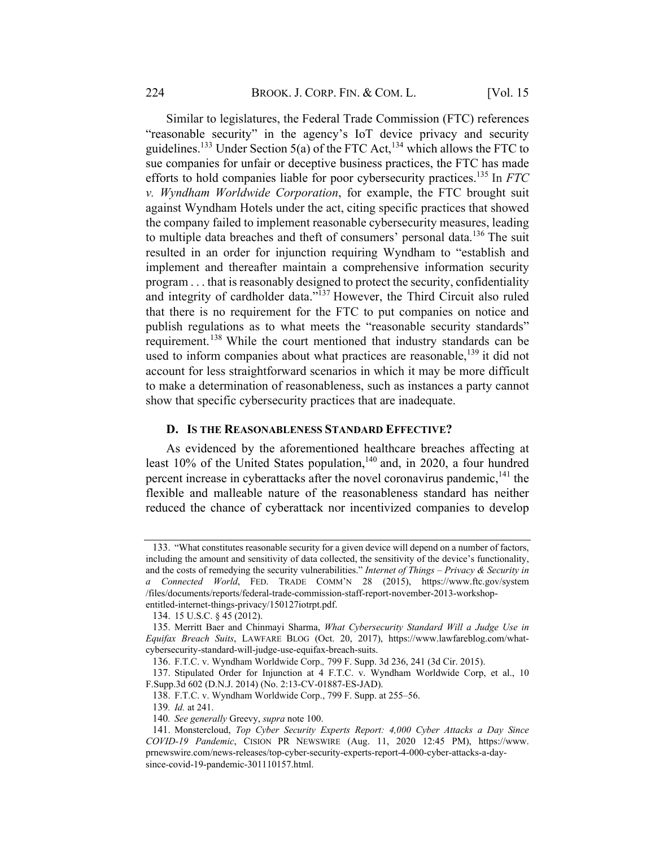Similar to legislatures, the Federal Trade Commission (FTC) references "reasonable security" in the agency's IoT device privacy and security guidelines.<sup>133</sup> Under Section 5(a) of the FTC Act,<sup>134</sup> which allows the FTC to sue companies for unfair or deceptive business practices, the FTC has made efforts to hold companies liable for poor cybersecurity practices.<sup>135</sup> In FTC v. Wyndham Worldwide Corporation, for example, the FTC brought suit against Wyndham Hotels under the act, citing specific practices that showed the company failed to implement reasonable cybersecurity measures, leading to multiple data breaches and theft of consumers' personal data.<sup>136</sup> The suit resulted in an order for injunction requiring Wyndham to "establish and implement and thereafter maintain a comprehensive information security program . . . that is reasonably designed to protect the security, confidentiality and integrity of cardholder data."137 However, the Third Circuit also ruled that there is no requirement for the FTC to put companies on notice and publish regulations as to what meets the "reasonable security standards" requirement.<sup>138</sup> While the court mentioned that industry standards can be used to inform companies about what practices are reasonable,<sup>139</sup> it did not account for less straightforward scenarios in which it may be more difficult to make a determination of reasonableness, such as instances a party cannot show that specific cybersecurity practices that are inadequate.

#### D. IS THE REASONABLENESS STANDARD EFFECTIVE?

As evidenced by the aforementioned healthcare breaches affecting at least 10% of the United States population,<sup>140</sup> and, in 2020, a four hundred percent increase in cyberattacks after the novel coronavirus pandemic,  $^{141}$  the flexible and malleable nature of the reasonableness standard has neither reduced the chance of cyberattack nor incentivized companies to develop

<sup>133.</sup> "What constitutes reasonable security for a given device will depend on a number of factors, including the amount and sensitivity of data collected, the sensitivity of the device's functionality, and the costs of remedying the security vulnerabilities." Internet of Things - Privacy & Security in a Connected World, FED. TRADE COMM'N 28 (2015), https://www.ftc.gov/system /files/documents/reports/federal-trade-commission-staff-report-november-2013-workshopentitled-internet-things-privacy/150127iotrpt.pdf.

<sup>134.</sup> 15 U.S.C. § 45 (2012).

<sup>135.</sup> Merritt Baer and Chinmayi Sharma, What Cybersecurity Standard Will a Judge Use in Equifax Breach Suits, LAWFARE BLOG (Oct. 20, 2017), https://www.lawfareblog.com/whatcybersecurity-standard-will-judge-use-equifax-breach-suits.

<sup>136.</sup> F.T.C. v. Wyndham Worldwide Corp., 799 F. Supp. 3d 236, 241 (3d Cir. 2015).

<sup>137.</sup> Stipulated Order for Injunction at 4 F.T.C. v. Wyndham Worldwide Corp, et al., 10 F.Supp.3d 602 (D.N.J. 2014) (No. 2:13-CV-01887-ES-JAD).

<sup>138.</sup> F.T.C. v. Wyndham Worldwide Corp., 799 F. Supp. at 255–56.

<sup>139</sup>. Id. at 241.

<sup>140.</sup> See generally Greevy, supra note 100.

<sup>141.</sup> Monstercloud, Top Cyber Security Experts Report: 4,000 Cyber Attacks a Day Since COVID-19 Pandemic, CISION PR NEWSWIRE (Aug. 11, 2020 12:45 PM), https://www. prnewswire.com/news-releases/top-cyber-security-experts-report-4-000-cyber-attacks-a-daysince-covid-19-pandemic-301110157.html.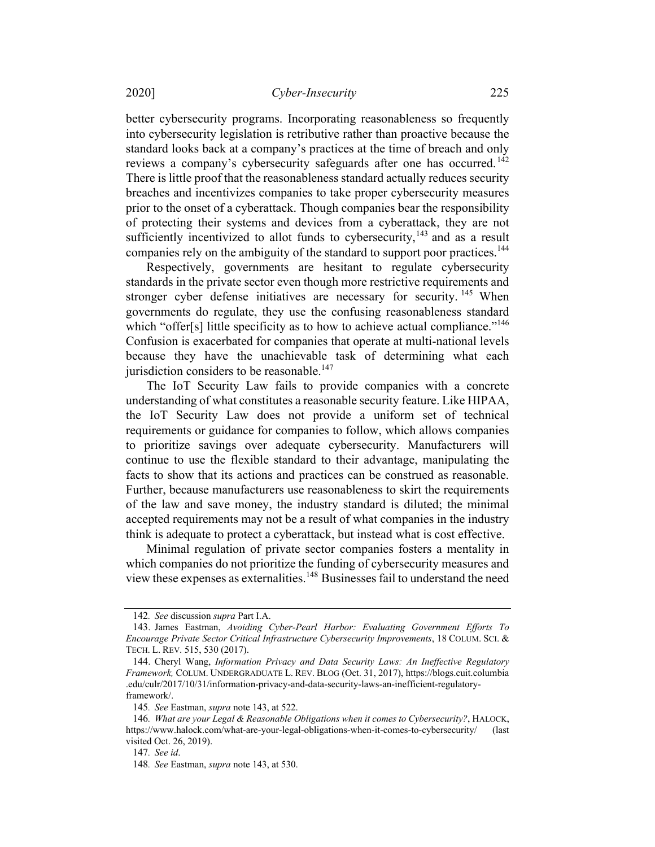#### 2020] Cyber-Insecurity 225

better cybersecurity programs. Incorporating reasonableness so frequently into cybersecurity legislation is retributive rather than proactive because the standard looks back at a company's practices at the time of breach and only reviews a company's cybersecurity safeguards after one has occurred.<sup>142</sup> There is little proof that the reasonableness standard actually reduces security breaches and incentivizes companies to take proper cybersecurity measures prior to the onset of a cyberattack. Though companies bear the responsibility of protecting their systems and devices from a cyberattack, they are not sufficiently incentivized to allot funds to cybersecurity, $143$  and as a result companies rely on the ambiguity of the standard to support poor practices.<sup>144</sup>

Respectively, governments are hesitant to regulate cybersecurity standards in the private sector even though more restrictive requirements and stronger cyber defense initiatives are necessary for security. <sup>145</sup> When governments do regulate, they use the confusing reasonableness standard which "offer[s] little specificity as to how to achieve actual compliance."<sup>146</sup> Confusion is exacerbated for companies that operate at multi-national levels because they have the unachievable task of determining what each jurisdiction considers to be reasonable.<sup>147</sup>

The IoT Security Law fails to provide companies with a concrete understanding of what constitutes a reasonable security feature. Like HIPAA, the IoT Security Law does not provide a uniform set of technical requirements or guidance for companies to follow, which allows companies to prioritize savings over adequate cybersecurity. Manufacturers will continue to use the flexible standard to their advantage, manipulating the facts to show that its actions and practices can be construed as reasonable. Further, because manufacturers use reasonableness to skirt the requirements of the law and save money, the industry standard is diluted; the minimal accepted requirements may not be a result of what companies in the industry think is adequate to protect a cyberattack, but instead what is cost effective.

Minimal regulation of private sector companies fosters a mentality in which companies do not prioritize the funding of cybersecurity measures and view these expenses as externalities.<sup>148</sup> Businesses fail to understand the need

<sup>142</sup>. See discussion supra Part I.A.

<sup>143.</sup> James Eastman, Avoiding Cyber-Pearl Harbor: Evaluating Government Efforts To Encourage Private Sector Critical Infrastructure Cybersecurity Improvements, 18 COLUM. SCI. & TECH. L. REV. 515, 530 (2017).

<sup>144.</sup> Cheryl Wang, Information Privacy and Data Security Laws: An Ineffective Regulatory Framework, COLUM. UNDERGRADUATE L. REV. BLOG (Oct. 31, 2017), https://blogs.cuit.columbia .edu/culr/2017/10/31/information-privacy-and-data-security-laws-an-inefficient-regulatoryframework/.

<sup>145</sup>. See Eastman, supra note 143, at 522.

<sup>146</sup>. What are your Legal & Reasonable Obligations when it comes to Cybersecurity?, HALOCK, https://www.halock.com/what-are-your-legal-obligations-when-it-comes-to-cybersecurity/ (last visited Oct. 26, 2019).

<sup>147</sup>. See id.

<sup>148</sup>. See Eastman, supra note 143, at 530.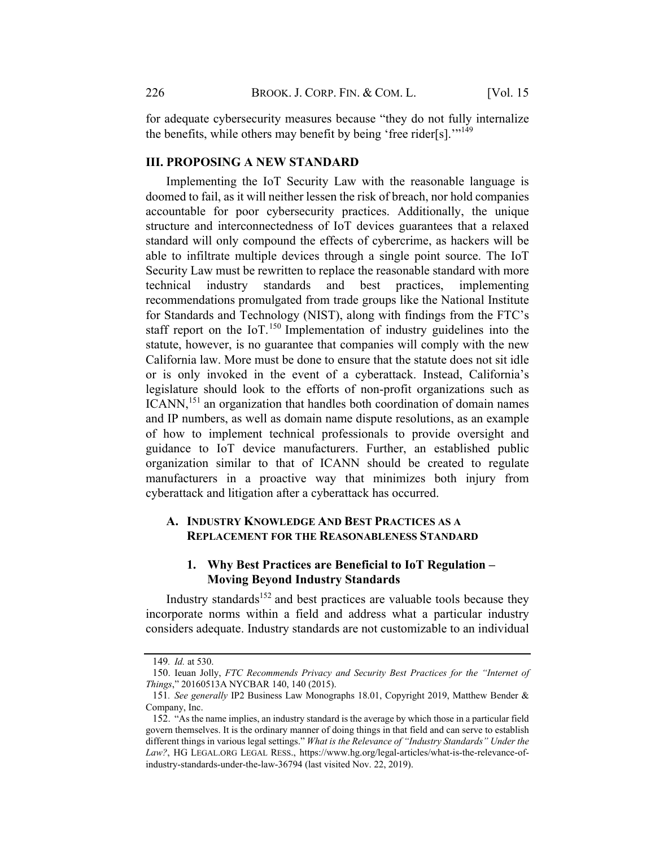for adequate cybersecurity measures because "they do not fully internalize the benefits, while others may benefit by being 'free rider[s]."<sup>149</sup>

#### **III. PROPOSING A NEW STANDARD**

Implementing the IoT Security Law with the reasonable language is doomed to fail, as it will neither lessen the risk of breach, nor hold companies accountable for poor cybersecurity practices. Additionally, the unique structure and interconnectedness of IoT devices guarantees that a relaxed standard will only compound the effects of cybercrime, as hackers will be able to infiltrate multiple devices through a single point source. The IoT Security Law must be rewritten to replace the reasonable standard with more technical industry standards and best practices, implementing recommendations promulgated from trade groups like the National Institute for Standards and Technology (NIST), along with findings from the FTC's staff report on the  $10T$ .<sup>150</sup> Implementation of industry guidelines into the statute, however, is no guarantee that companies will comply with the new California law. More must be done to ensure that the statute does not sit idle or is only invoked in the event of a cyberattack. Instead, California's legislature should look to the efforts of non-profit organizations such as ICANN,<sup>151</sup> an organization that handles both coordination of domain names and IP numbers, as well as domain name dispute resolutions, as an example of how to implement technical professionals to provide oversight and guidance to IoT device manufacturers. Further, an established public organization similar to that of ICANN should be created to regulate manufacturers in a proactive way that minimizes both injury from cyberattack and litigation after a cyberattack has occurred.

# A. INDUSTRY KNOWLEDGE AND BEST PRACTICES AS A REPLACEMENT FOR THE REASONABLENESS STANDARD

# 1. Why Best Practices are Beneficial to IoT Regulation – Moving Beyond Industry Standards

Industry standards $152$  and best practices are valuable tools because they incorporate norms within a field and address what a particular industry considers adequate. Industry standards are not customizable to an individual

<sup>149</sup>. Id. at 530.

<sup>150.</sup> Ieuan Jolly, FTC Recommends Privacy and Security Best Practices for the "Internet of Things," 20160513A NYCBAR 140, 140 (2015).

<sup>151</sup>. See generally IP2 Business Law Monographs 18.01, Copyright 2019, Matthew Bender & Company, Inc.

<sup>152.</sup> "As the name implies, an industry standard is the average by which those in a particular field govern themselves. It is the ordinary manner of doing things in that field and can serve to establish different things in various legal settings." What is the Relevance of "Industry Standards" Under the Law?, HG LEGAL.ORG LEGAL RESS., https://www.hg.org/legal-articles/what-is-the-relevance-ofindustry-standards-under-the-law-36794 (last visited Nov. 22, 2019).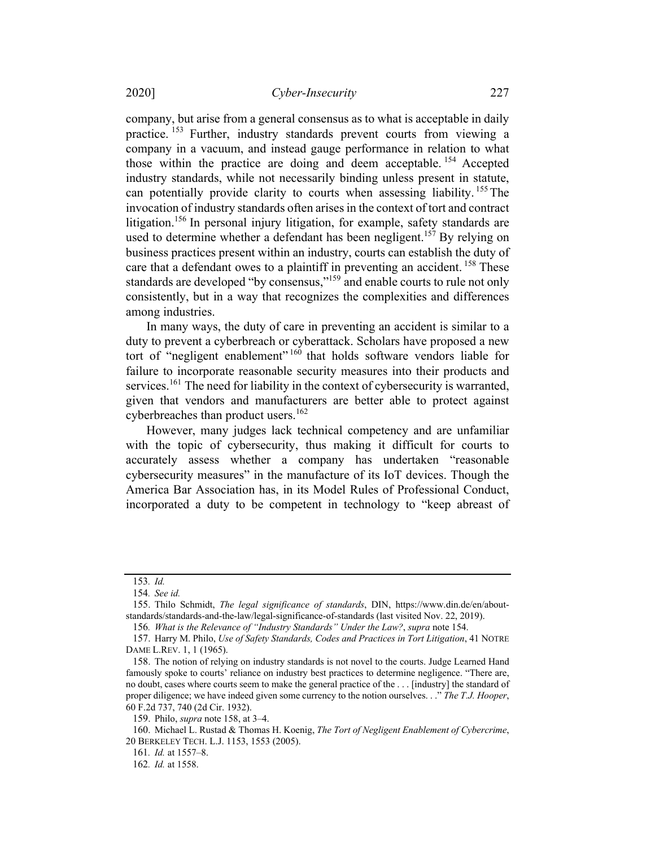company, but arise from a general consensus as to what is acceptable in daily practice. <sup>153</sup> Further, industry standards prevent courts from viewing a company in a vacuum, and instead gauge performance in relation to what those within the practice are doing and deem acceptable.<sup>154</sup> Accepted industry standards, while not necessarily binding unless present in statute, can potentially provide clarity to courts when assessing liability.<sup>155</sup> The invocation of industry standards often arises in the context of tort and contract litigation. <sup>156</sup> In personal injury litigation, for example, safety standards are used to determine whether a defendant has been negligent.<sup>157</sup> By relying on business practices present within an industry, courts can establish the duty of care that a defendant owes to a plaintiff in preventing an accident. <sup>158</sup> These standards are developed "by consensus,"<sup>159</sup> and enable courts to rule not only consistently, but in a way that recognizes the complexities and differences among industries.

In many ways, the duty of care in preventing an accident is similar to a duty to prevent a cyberbreach or cyberattack. Scholars have proposed a new tort of "negligent enablement" <sup>160</sup> that holds software vendors liable for failure to incorporate reasonable security measures into their products and services.<sup>161</sup> The need for liability in the context of cybersecurity is warranted, given that vendors and manufacturers are better able to protect against cyberbreaches than product users.<sup>162</sup>

However, many judges lack technical competency and are unfamiliar with the topic of cybersecurity, thus making it difficult for courts to accurately assess whether a company has undertaken "reasonable cybersecurity measures" in the manufacture of its IoT devices. Though the America Bar Association has, in its Model Rules of Professional Conduct, incorporated a duty to be competent in technology to "keep abreast of

<sup>153</sup>. Id.

<sup>154</sup>. See id.

<sup>155.</sup> Thilo Schmidt, The legal significance of standards, DIN, https://www.din.de/en/aboutstandards/standards-and-the-law/legal-significance-of-standards (last visited Nov. 22, 2019).

<sup>156</sup>. What is the Relevance of "Industry Standards" Under the Law?, supra note 154.

<sup>157.</sup> Harry M. Philo, Use of Safety Standards, Codes and Practices in Tort Litigation, 41 NOTRE DAME L.REV. 1, 1 (1965).

<sup>158.</sup> The notion of relying on industry standards is not novel to the courts. Judge Learned Hand famously spoke to courts' reliance on industry best practices to determine negligence. "There are, no doubt, cases where courts seem to make the general practice of the . . . [industry] the standard of proper diligence; we have indeed given some currency to the notion ourselves. . ." The T.J. Hooper, 60 F.2d 737, 740 (2d Cir. 1932).

<sup>159.</sup> Philo, supra note 158, at 3–4.

<sup>160.</sup> Michael L. Rustad & Thomas H. Koenig, The Tort of Negligent Enablement of Cybercrime, 20 BERKELEY TECH. L.J. 1153, 1553 (2005).

<sup>161</sup>. Id. at 1557–8.

<sup>162</sup>. Id. at 1558.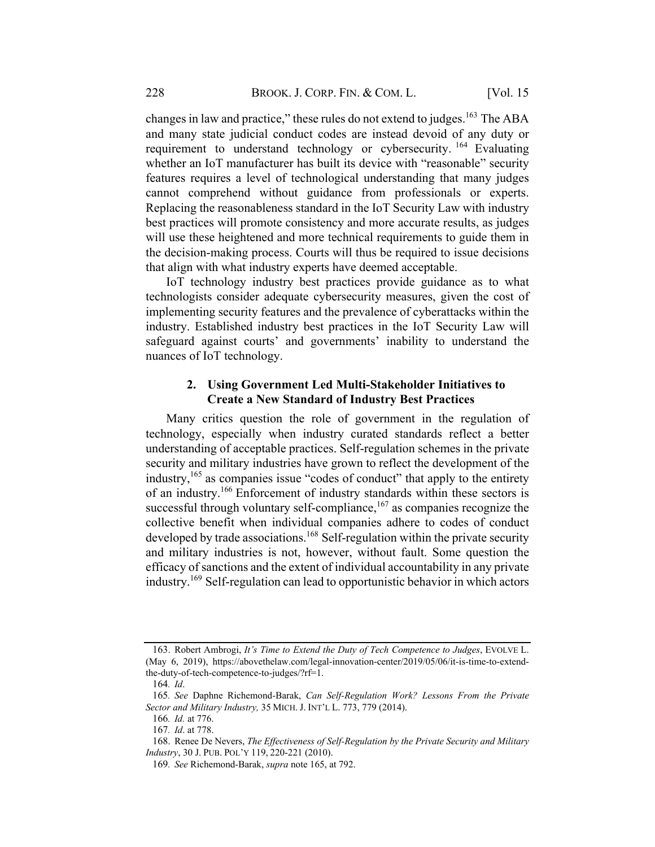changes in law and practice," these rules do not extend to judges.<sup>163</sup> The ABA and many state judicial conduct codes are instead devoid of any duty or requirement to understand technology or cybersecurity.<sup>164</sup> Evaluating whether an IoT manufacturer has built its device with "reasonable" security features requires a level of technological understanding that many judges cannot comprehend without guidance from professionals or experts. Replacing the reasonableness standard in the IoT Security Law with industry best practices will promote consistency and more accurate results, as judges will use these heightened and more technical requirements to guide them in the decision-making process. Courts will thus be required to issue decisions that align with what industry experts have deemed acceptable.

IoT technology industry best practices provide guidance as to what technologists consider adequate cybersecurity measures, given the cost of implementing security features and the prevalence of cyberattacks within the industry. Established industry best practices in the IoT Security Law will safeguard against courts' and governments' inability to understand the nuances of IoT technology.

## 2. Using Government Led Multi-Stakeholder Initiatives to Create a New Standard of Industry Best Practices

Many critics question the role of government in the regulation of technology, especially when industry curated standards reflect a better understanding of acceptable practices. Self-regulation schemes in the private security and military industries have grown to reflect the development of the industry,<sup>165</sup> as companies issue "codes of conduct" that apply to the entirety of an industry.166 Enforcement of industry standards within these sectors is successful through voluntary self-compliance, $167$  as companies recognize the collective benefit when individual companies adhere to codes of conduct developed by trade associations.<sup>168</sup> Self-regulation within the private security and military industries is not, however, without fault. Some question the efficacy of sanctions and the extent of individual accountability in any private industry.169 Self-regulation can lead to opportunistic behavior in which actors

<sup>163.</sup> Robert Ambrogi, It's Time to Extend the Duty of Tech Competence to Judges, EVOLVE L. (May 6, 2019), https://abovethelaw.com/legal-innovation-center/2019/05/06/it-is-time-to-extendthe-duty-of-tech-competence-to-judges/?rf=1.

<sup>164</sup>. Id.

<sup>165</sup>. See Daphne Richemond-Barak, Can Self-Regulation Work? Lessons From the Private Sector and Military Industry, 35 MICH. J. INT'L L. 773, 779 (2014).

<sup>166</sup>. Id. at 776.

<sup>167</sup>. Id. at 778.

<sup>168.</sup> Renee De Nevers, The Effectiveness of Self-Regulation by the Private Security and Military Industry, 30 J. PUB. POL'Y 119, 220-221 (2010).

<sup>169</sup>. See Richemond-Barak, supra note 165, at 792.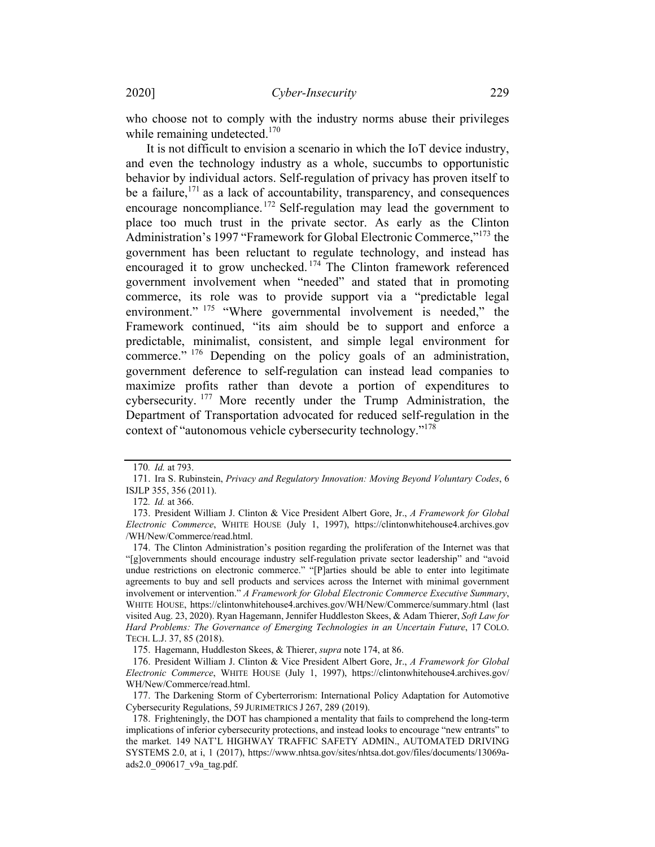who choose not to comply with the industry norms abuse their privileges while remaining undetected.<sup>170</sup>

It is not difficult to envision a scenario in which the IoT device industry, and even the technology industry as a whole, succumbs to opportunistic behavior by individual actors. Self-regulation of privacy has proven itself to be a failure,<sup>171</sup> as a lack of accountability, transparency, and consequences encourage noncompliance.<sup>172</sup> Self-regulation may lead the government to place too much trust in the private sector. As early as the Clinton Administration's 1997 "Framework for Global Electronic Commerce,"<sup>173</sup> the government has been reluctant to regulate technology, and instead has encouraged it to grow unchecked. <sup>174</sup> The Clinton framework referenced government involvement when "needed" and stated that in promoting commerce, its role was to provide support via a "predictable legal environment." <sup>175</sup> "Where governmental involvement is needed," the Framework continued, "its aim should be to support and enforce a predictable, minimalist, consistent, and simple legal environment for commerce." <sup>176</sup> Depending on the policy goals of an administration, government deference to self-regulation can instead lead companies to maximize profits rather than devote a portion of expenditures to cybersecurity. <sup>177</sup> More recently under the Trump Administration, the Department of Transportation advocated for reduced self-regulation in the context of "autonomous vehicle cybersecurity technology."178

177. The Darkening Storm of Cyberterrorism: International Policy Adaptation for Automotive Cybersecurity Regulations, 59 JURIMETRICS J 267, 289 (2019).

<sup>170</sup>. Id. at 793.

<sup>171.</sup> Ira S. Rubinstein, Privacy and Regulatory Innovation: Moving Beyond Voluntary Codes, 6 ISJLP 355, 356 (2011).

<sup>172</sup>. Id. at 366.

<sup>173.</sup> President William J. Clinton & Vice President Albert Gore, Jr., A Framework for Global Electronic Commerce, WHITE HOUSE (July 1, 1997), https://clintonwhitehouse4.archives.gov /WH/New/Commerce/read.html.

<sup>174.</sup> The Clinton Administration's position regarding the proliferation of the Internet was that "[g]overnments should encourage industry self-regulation private sector leadership" and "avoid undue restrictions on electronic commerce." "[P]arties should be able to enter into legitimate agreements to buy and sell products and services across the Internet with minimal government involvement or intervention." A Framework for Global Electronic Commerce Executive Summary, WHITE HOUSE, https://clintonwhitehouse4.archives.gov/WH/New/Commerce/summary.html (last visited Aug. 23, 2020). Ryan Hagemann, Jennifer Huddleston Skees, & Adam Thierer, Soft Law for Hard Problems: The Governance of Emerging Technologies in an Uncertain Future, 17 COLO. TECH. L.J. 37, 85 (2018).

<sup>175.</sup> Hagemann, Huddleston Skees, & Thierer, supra note 174, at 86.

<sup>176.</sup> President William J. Clinton & Vice President Albert Gore, Jr., A Framework for Global Electronic Commerce, WHITE HOUSE (July 1, 1997), https://clintonwhitehouse4.archives.gov/ WH/New/Commerce/read.html.

<sup>178.</sup> Frighteningly, the DOT has championed a mentality that fails to comprehend the long-term implications of inferior cybersecurity protections, and instead looks to encourage "new entrants" to the market. 149 NAT'L HIGHWAY TRAFFIC SAFETY ADMIN., AUTOMATED DRIVING SYSTEMS 2.0, at i, 1 (2017), https://www.nhtsa.gov/sites/nhtsa.dot.gov/files/documents/13069aads2.0\_090617\_v9a\_tag.pdf.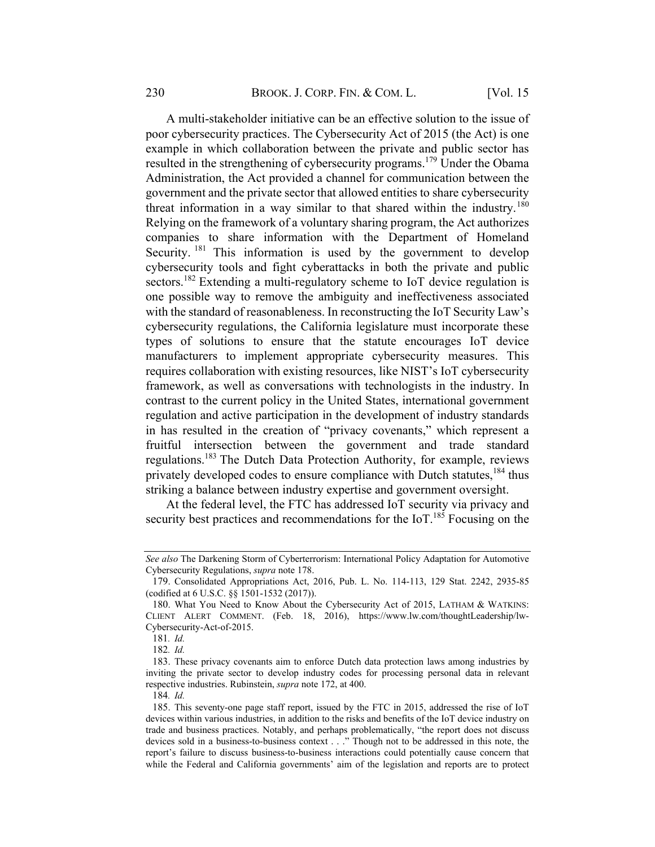A multi-stakeholder initiative can be an effective solution to the issue of poor cybersecurity practices. The Cybersecurity Act of 2015 (the Act) is one example in which collaboration between the private and public sector has resulted in the strengthening of cybersecurity programs.<sup>179</sup> Under the Obama Administration, the Act provided a channel for communication between the government and the private sector that allowed entities to share cybersecurity threat information in a way similar to that shared within the industry.<sup>180</sup> Relying on the framework of a voluntary sharing program, the Act authorizes companies to share information with the Department of Homeland Security. <sup>181</sup> This information is used by the government to develop cybersecurity tools and fight cyberattacks in both the private and public sectors.<sup>182</sup> Extending a multi-regulatory scheme to IoT device regulation is one possible way to remove the ambiguity and ineffectiveness associated with the standard of reasonableness. In reconstructing the IoT Security Law's cybersecurity regulations, the California legislature must incorporate these types of solutions to ensure that the statute encourages IoT device manufacturers to implement appropriate cybersecurity measures. This requires collaboration with existing resources, like NIST's IoT cybersecurity framework, as well as conversations with technologists in the industry. In contrast to the current policy in the United States, international government regulation and active participation in the development of industry standards in has resulted in the creation of "privacy covenants," which represent a fruitful intersection between the government and trade standard regulations.183 The Dutch Data Protection Authority, for example, reviews privately developed codes to ensure compliance with Dutch statutes,<sup>184</sup> thus striking a balance between industry expertise and government oversight.

At the federal level, the FTC has addressed IoT security via privacy and security best practices and recommendations for the IoT.<sup>185</sup> Focusing on the

See also The Darkening Storm of Cyberterrorism: International Policy Adaptation for Automotive Cybersecurity Regulations, supra note 178.

<sup>179.</sup> Consolidated Appropriations Act, 2016, Pub. L. No. 114-113, 129 Stat. 2242, 2935-85 (codified at 6 U.S.C. §§ 1501-1532 (2017)).

<sup>180.</sup> What You Need to Know About the Cybersecurity Act of 2015, LATHAM & WATKINS: CLIENT ALERT COMMENT. (Feb. 18, 2016), https://www.lw.com/thoughtLeadership/lw-Cybersecurity-Act-of-2015.

<sup>181</sup>. Id.

<sup>182</sup>. Id.

<sup>183.</sup> These privacy covenants aim to enforce Dutch data protection laws among industries by inviting the private sector to develop industry codes for processing personal data in relevant respective industries. Rubinstein, supra note 172, at 400.

<sup>184</sup>. Id.

<sup>185.</sup> This seventy-one page staff report, issued by the FTC in 2015, addressed the rise of IoT devices within various industries, in addition to the risks and benefits of the IoT device industry on trade and business practices. Notably, and perhaps problematically, "the report does not discuss devices sold in a business-to-business context . . ." Though not to be addressed in this note, the report's failure to discuss business-to-business interactions could potentially cause concern that while the Federal and California governments' aim of the legislation and reports are to protect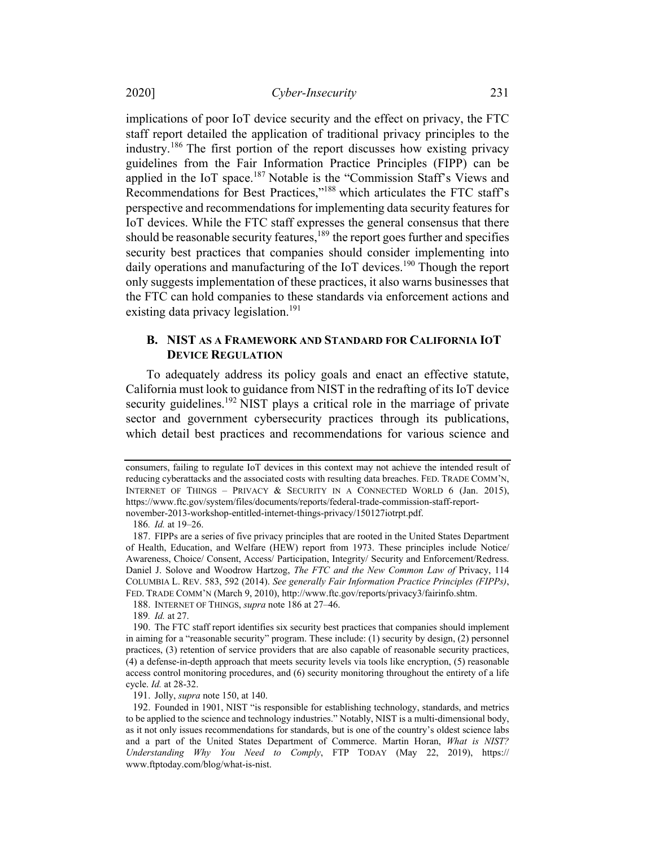implications of poor IoT device security and the effect on privacy, the FTC staff report detailed the application of traditional privacy principles to the industry. <sup>186</sup> The first portion of the report discusses how existing privacy guidelines from the Fair Information Practice Principles (FIPP) can be applied in the IoT space.<sup>187</sup> Notable is the "Commission Staff's Views and Recommendations for Best Practices,"188 which articulates the FTC staff's perspective and recommendations for implementing data security features for IoT devices. While the FTC staff expresses the general consensus that there should be reasonable security features, $189$  the report goes further and specifies security best practices that companies should consider implementing into daily operations and manufacturing of the IoT devices.<sup>190</sup> Though the report only suggests implementation of these practices, it also warns businesses that the FTC can hold companies to these standards via enforcement actions and existing data privacy legislation.<sup>191</sup>

# B. NIST AS A FRAMEWORK AND STANDARD FOR CALIFORNIA IOT **DEVICE REGULATION**

To adequately address its policy goals and enact an effective statute, California must look to guidance from NIST in the redrafting of its IoT device security guidelines.<sup>192</sup> NIST plays a critical role in the marriage of private sector and government cybersecurity practices through its publications, which detail best practices and recommendations for various science and

186. Id. at 19–26.

188. INTERNET OF THINGS, supra note 186 at 27-46.

189. Id. at 27.

190. The FTC staff report identifies six security best practices that companies should implement in aiming for a "reasonable security" program. These include: (1) security by design, (2) personnel practices, (3) retention of service providers that are also capable of reasonable security practices, (4) a defense-in-depth approach that meets security levels via tools like encryption, (5) reasonable access control monitoring procedures, and (6) security monitoring throughout the entirety of a life cycle. Id. at 28-32.

191. Jolly, supra note 150, at 140.

consumers, failing to regulate IoT devices in this context may not achieve the intended result of reducing cyberattacks and the associated costs with resulting data breaches. FED. TRADE COMM'N, INTERNET OF THINGS – PRIVACY & SECURITY IN A CONNECTED WORLD 6 (Jan. 2015), https://www.ftc.gov/system/files/documents/reports/federal-trade-commission-staff-reportnovember-2013-workshop-entitled-internet-things-privacy/150127iotrpt.pdf.

<sup>187.</sup> FIPPs are a series of five privacy principles that are rooted in the United States Department of Health, Education, and Welfare (HEW) report from 1973. These principles include Notice/ Awareness, Choice/ Consent, Access/ Participation, Integrity/ Security and Enforcement/Redress. Daniel J. Solove and Woodrow Hartzog, The FTC and the New Common Law of Privacy, 114 COLUMBIA L. REV. 583, 592 (2014). See generally Fair Information Practice Principles (FIPPs), FED. TRADE COMM'N (March 9, 2010), http://www.ftc.gov/reports/privacy3/fairinfo.shtm.

<sup>192.</sup> Founded in 1901, NIST "is responsible for establishing technology, standards, and metrics to be applied to the science and technology industries." Notably, NIST is a multi-dimensional body, as it not only issues recommendations for standards, but is one of the country's oldest science labs and a part of the United States Department of Commerce. Martin Horan, What is NIST? Understanding Why You Need to Comply, FTP TODAY (May 22, 2019), https:// www.ftptoday.com/blog/what-is-nist.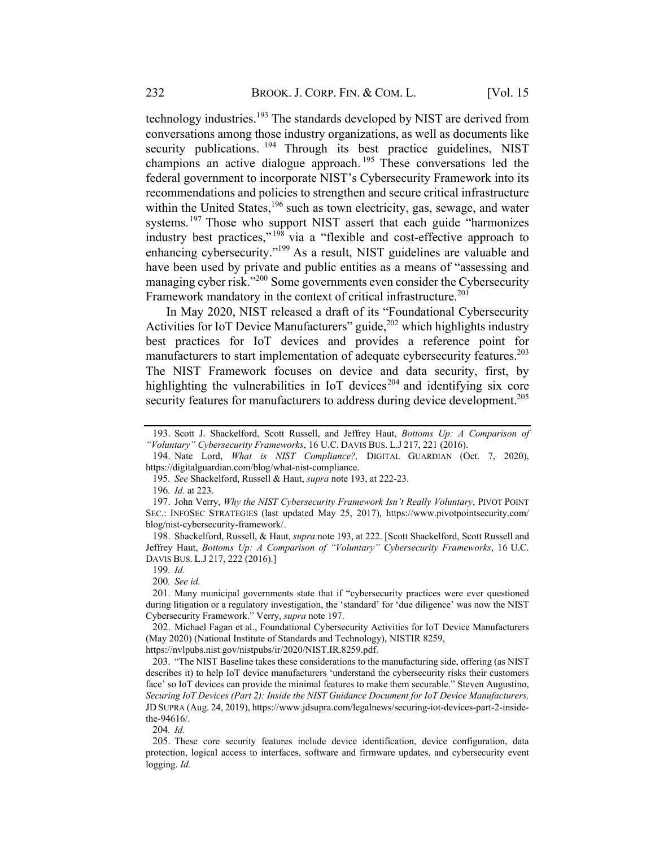technology industries.<sup>193</sup> The standards developed by NIST are derived from conversations among those industry organizations, as well as documents like security publications. <sup>194</sup> Through its best practice guidelines, NIST champions an active dialogue approach. <sup>195</sup> These conversations led the federal government to incorporate NIST's Cybersecurity Framework into its recommendations and policies to strengthen and secure critical infrastructure within the United States,  $196$  such as town electricity, gas, sewage, and water systems.<sup>197</sup> Those who support NIST assert that each guide "harmonizes industry best practices,"<sup>198</sup> via a "flexible and cost-effective approach to enhancing cybersecurity."<sup>199</sup> As a result, NIST guidelines are valuable and have been used by private and public entities as a means of "assessing and managing cyber risk."200 Some governments even consider the Cybersecurity Framework mandatory in the context of critical infrastructure.<sup>201</sup>

In May 2020, NIST released a draft of its "Foundational Cybersecurity Activities for IoT Device Manufacturers" guide, $^{202}$  which highlights industry best practices for IoT devices and provides a reference point for manufacturers to start implementation of adequate cybersecurity features.<sup>203</sup> The NIST Framework focuses on device and data security, first, by highlighting the vulnerabilities in IoT devices<sup>204</sup> and identifying six core security features for manufacturers to address during device development.<sup>205</sup>

196. Id. at 223.

198. Shackelford, Russell, & Haut, *supra* note 193, at 222. [Scott Shackelford, Scott Russell and Jeffrey Haut, Bottoms Up: A Comparison of "Voluntary" Cybersecurity Frameworks, 16 U.C. DAVIS BUS. L.J 217, 222 (2016).]

199. Id.

200. See id.

201. Many municipal governments state that if "cybersecurity practices were ever questioned during litigation or a regulatory investigation, the 'standard' for 'due diligence' was now the NIST Cybersecurity Framework." Verry, supra note 197.

202. Michael Fagan et al., Foundational Cybersecurity Activities for IoT Device Manufacturers (May 2020) (National Institute of Standards and Technology), NISTIR 8259,

https://nvlpubs.nist.gov/nistpubs/ir/2020/NIST.IR.8259.pdf.

203. "The NIST Baseline takes these considerations to the manufacturing side, offering (as NIST describes it) to help IoT device manufacturers 'understand the cybersecurity risks their customers face' so IoT devices can provide the minimal features to make them securable." Steven Augustino, Securing IoT Devices (Part 2): Inside the NIST Guidance Document for IoT Device Manufacturers, JD SUPRA (Aug. 24, 2019), https://www.jdsupra.com/legalnews/securing-iot-devices-part-2-insidethe-94616/.

204. Id.

<sup>193.</sup> Scott J. Shackelford, Scott Russell, and Jeffrey Haut, Bottoms Up: A Comparison of "Voluntary" Cybersecurity Frameworks, 16 U.C. DAVIS BUS. L.J 217, 221 (2016).

<sup>194.</sup> Nate Lord, What is NIST Compliance?, DIGITAL GUARDIAN (Oct. 7, 2020), https://digitalguardian.com/blog/what-nist-compliance.

<sup>195</sup>. See Shackelford, Russell & Haut, supra note 193, at 222-23.

<sup>197.</sup> John Verry, Why the NIST Cybersecurity Framework Isn't Really Voluntary, PIVOT POINT SEC.: INFOSEC STRATEGIES (last updated May 25, 2017), https://www.pivotpointsecurity.com/ blog/nist-cybersecurity-framework/.

<sup>205.</sup> These core security features include device identification, device configuration, data protection, logical access to interfaces, software and firmware updates, and cybersecurity event logging. Id.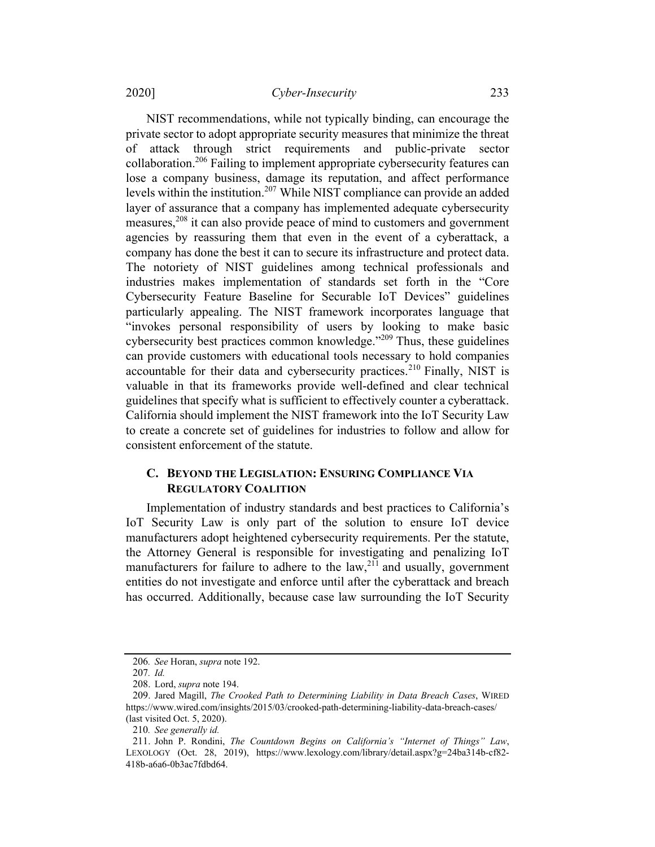NIST recommendations, while not typically binding, can encourage the private sector to adopt appropriate security measures that minimize the threat of attack through strict requirements and public-private sector collaboration.206 Failing to implement appropriate cybersecurity features can lose a company business, damage its reputation, and affect performance levels within the institution.<sup>207</sup> While NIST compliance can provide an added layer of assurance that a company has implemented adequate cybersecurity measures,<sup>208</sup> it can also provide peace of mind to customers and government agencies by reassuring them that even in the event of a cyberattack, a company has done the best it can to secure its infrastructure and protect data. The notoriety of NIST guidelines among technical professionals and industries makes implementation of standards set forth in the "Core Cybersecurity Feature Baseline for Securable IoT Devices" guidelines particularly appealing. The NIST framework incorporates language that "invokes personal responsibility of users by looking to make basic cybersecurity best practices common knowledge."<sup>209</sup> Thus, these guidelines can provide customers with educational tools necessary to hold companies accountable for their data and cybersecurity practices.<sup>210</sup> Finally, NIST is valuable in that its frameworks provide well-defined and clear technical guidelines that specify what is sufficient to effectively counter a cyberattack. California should implement the NIST framework into the IoT Security Law to create a concrete set of guidelines for industries to follow and allow for consistent enforcement of the statute.

# C. BEYOND THE LEGISLATION: ENSURING COMPLIANCE VIA **REGULATORY COALITION**

Implementation of industry standards and best practices to California's IoT Security Law is only part of the solution to ensure IoT device manufacturers adopt heightened cybersecurity requirements. Per the statute, the Attorney General is responsible for investigating and penalizing IoT manufacturers for failure to adhere to the law,<sup>211</sup> and usually, government entities do not investigate and enforce until after the cyberattack and breach has occurred. Additionally, because case law surrounding the IoT Security

<sup>206</sup>. See Horan, supra note 192.

<sup>207</sup>. Id.

<sup>208.</sup> Lord, supra note 194.

<sup>209.</sup> Jared Magill, The Crooked Path to Determining Liability in Data Breach Cases, WIRED https://www.wired.com/insights/2015/03/crooked-path-determining-liability-data-breach-cases/ (last visited Oct. 5, 2020).

<sup>210</sup>. See generally id.

<sup>211.</sup> John P. Rondini, The Countdown Begins on California's "Internet of Things" Law, LEXOLOGY (Oct. 28, 2019), https://www.lexology.com/library/detail.aspx?g=24ba314b-cf82- 418b-a6a6-0b3ac7fdbd64.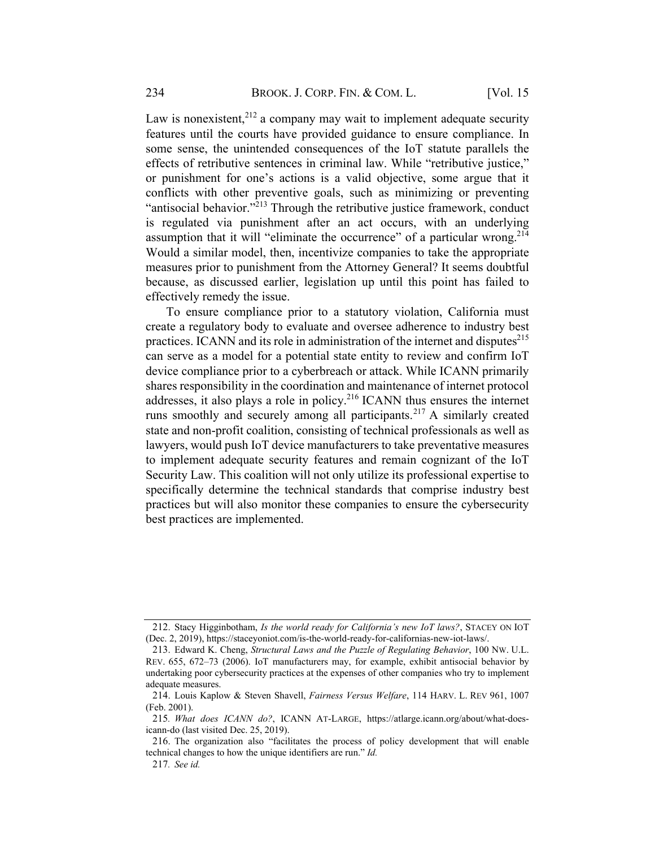Law is nonexistent,  $2^{12}$  a company may wait to implement adequate security features until the courts have provided guidance to ensure compliance. In some sense, the unintended consequences of the IoT statute parallels the effects of retributive sentences in criminal law. While "retributive justice," or punishment for one's actions is a valid objective, some argue that it conflicts with other preventive goals, such as minimizing or preventing "antisocial behavior."<sup>213</sup> Through the retributive justice framework, conduct is regulated via punishment after an act occurs, with an underlying assumption that it will "eliminate the occurrence" of a particular wrong.<sup>214</sup> Would a similar model, then, incentivize companies to take the appropriate measures prior to punishment from the Attorney General? It seems doubtful because, as discussed earlier, legislation up until this point has failed to effectively remedy the issue.

To ensure compliance prior to a statutory violation, California must create a regulatory body to evaluate and oversee adherence to industry best practices. ICANN and its role in administration of the internet and disputes<sup>215</sup> can serve as a model for a potential state entity to review and confirm IoT device compliance prior to a cyberbreach or attack. While ICANN primarily shares responsibility in the coordination and maintenance of internet protocol addresses, it also plays a role in policy.216 ICANN thus ensures the internet runs smoothly and securely among all participants.<sup>217</sup> A similarly created state and non-profit coalition, consisting of technical professionals as well as lawyers, would push IoT device manufacturers to take preventative measures to implement adequate security features and remain cognizant of the IoT Security Law. This coalition will not only utilize its professional expertise to specifically determine the technical standards that comprise industry best practices but will also monitor these companies to ensure the cybersecurity best practices are implemented.

<sup>212.</sup> Stacy Higginbotham, Is the world ready for California's new IoT laws?, STACEY ON IOT (Dec. 2, 2019), https://staceyoniot.com/is-the-world-ready-for-californias-new-iot-laws/.

<sup>213.</sup> Edward K. Cheng, Structural Laws and the Puzzle of Regulating Behavior, 100 NW. U.L. REV. 655, 672–73 (2006). IoT manufacturers may, for example, exhibit antisocial behavior by undertaking poor cybersecurity practices at the expenses of other companies who try to implement adequate measures.

<sup>214.</sup> Louis Kaplow & Steven Shavell, Fairness Versus Welfare, 114 HARV. L. REV 961, 1007 (Feb. 2001).

<sup>215</sup>. What does ICANN do?, ICANN AT-LARGE, https://atlarge.icann.org/about/what-doesicann-do (last visited Dec. 25, 2019).

<sup>216.</sup> The organization also "facilitates the process of policy development that will enable technical changes to how the unique identifiers are run." Id.

<sup>217</sup>. See id.